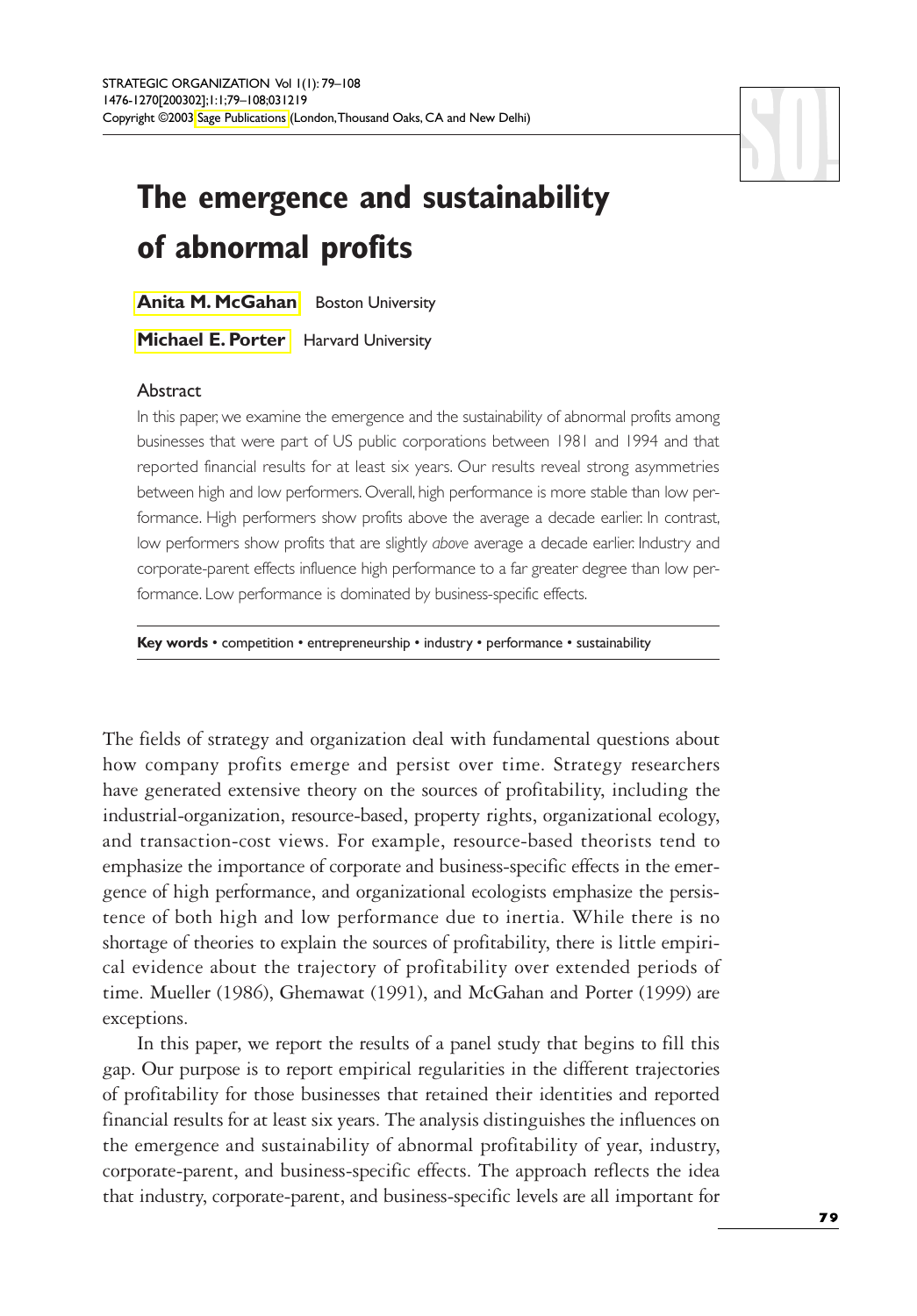# **The emergence and sustainability of abnormal profits**

**[Anita M. McGahan](#page-28-0)** Boston University

**[Michael E. Porter](#page-28-0)** Harvard University

## Abstract

In this paper, we examine the emergence and the sustainability of abnormal profits among businesses that were part of US public corporations between 1981 and 1994 and that reported financial results for at least six years. Our results reveal strong asymmetries between high and low performers. Overall, high performance is more stable than low performance. High performers show profits above the average a decade earlier. In contrast, low performers show profits that are slightly *above* average a decade earlier. Industry and corporate-parent effects influence high performance to a far greater degree than low performance. Low performance is dominated by business-specific effects.

**Key words** • competition • entrepreneurship • industry • performance • sustainability

The fields of strategy and organization deal with fundamental questions about how company profits emerge and persist over time. Strategy researchers have generated extensive theory on the sources of profitability, including the industrial-organization, resource-based, property rights, organizational ecology, and transaction-cost views. For example, resource-based theorists tend to emphasize the importance of corporate and business-specific effects in the emergence of high performance, and organizational ecologists emphasize the persistence of both high and low performance due to inertia. While there is no shortage of theories to explain the sources of profitability, there is little empirical evidence about the trajectory of profitability over extended periods of time. Mueller (1986), Ghemawat (1991), and McGahan and Porter (1999) are exceptions.

In this paper, we report the results of a panel study that begins to fill this gap. Our purpose is to report empirical regularities in the different trajectories of profitability for those businesses that retained their identities and reported financial results for at least six years. The analysis distinguishes the influences on the emergence and sustainability of abnormal profitability of year, industry, corporate-parent, and business-specific effects. The approach reflects the idea that industry, corporate-parent, and business-specific levels are all important for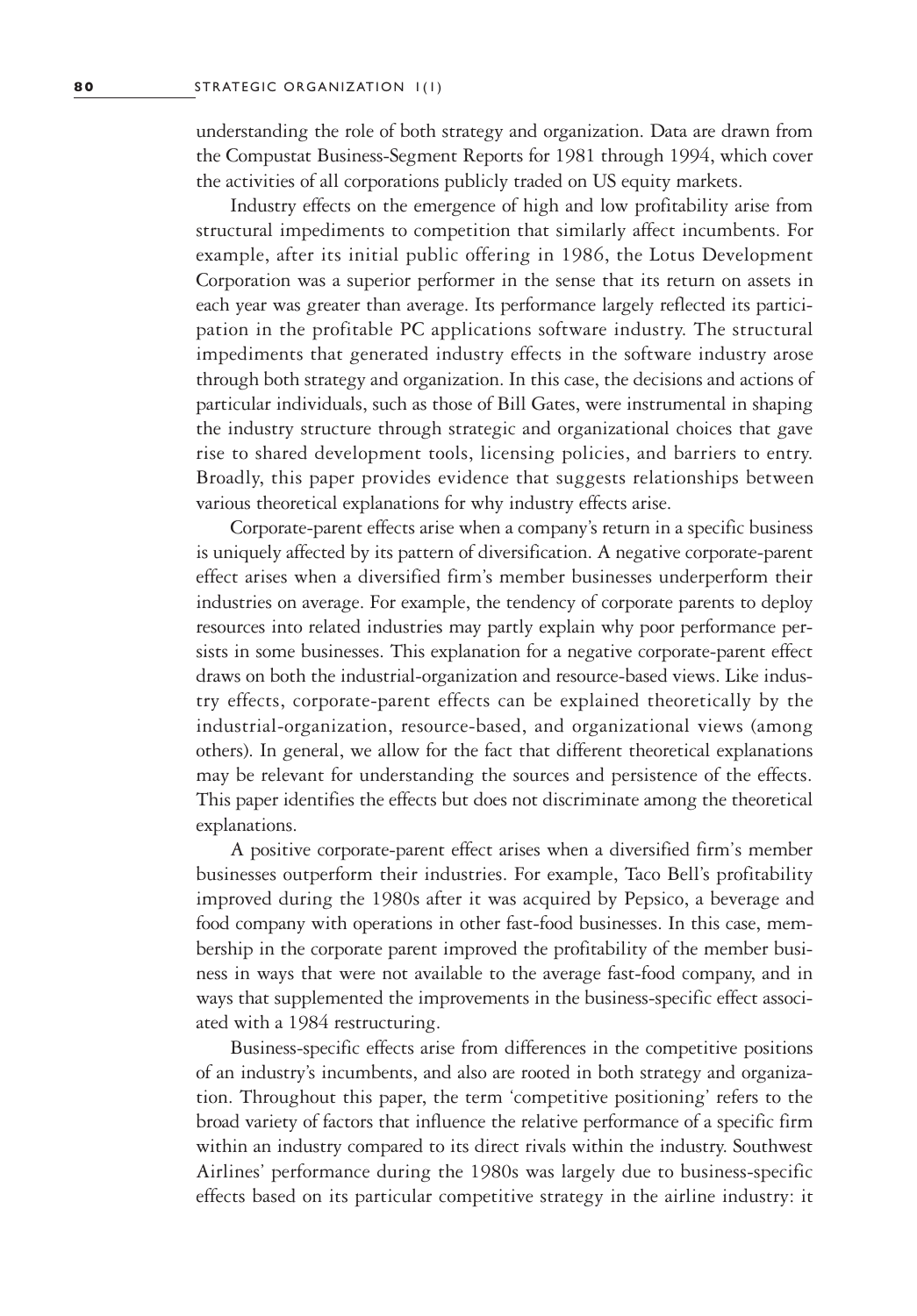understanding the role of both strategy and organization. Data are drawn from the Compustat Business-Segment Reports for 1981 through 1994, which cover the activities of all corporations publicly traded on US equity markets.

Industry effects on the emergence of high and low profitability arise from structural impediments to competition that similarly affect incumbents. For example, after its initial public offering in 1986, the Lotus Development Corporation was a superior performer in the sense that its return on assets in each year was greater than average. Its performance largely reflected its participation in the profitable PC applications software industry. The structural impediments that generated industry effects in the software industry arose through both strategy and organization. In this case, the decisions and actions of particular individuals, such as those of Bill Gates, were instrumental in shaping the industry structure through strategic and organizational choices that gave rise to shared development tools, licensing policies, and barriers to entry. Broadly, this paper provides evidence that suggests relationships between various theoretical explanations for why industry effects arise.

Corporate-parent effects arise when a company's return in a specific business is uniquely affected by its pattern of diversification. A negative corporate-parent effect arises when a diversified firm's member businesses underperform their industries on average. For example, the tendency of corporate parents to deploy resources into related industries may partly explain why poor performance persists in some businesses. This explanation for a negative corporate-parent effect draws on both the industrial-organization and resource-based views. Like industry effects, corporate-parent effects can be explained theoretically by the industrial-organization, resource-based, and organizational views (among others). In general, we allow for the fact that different theoretical explanations may be relevant for understanding the sources and persistence of the effects. This paper identifies the effects but does not discriminate among the theoretical explanations.

A positive corporate-parent effect arises when a diversified firm's member businesses outperform their industries. For example, Taco Bell's profitability improved during the 1980s after it was acquired by Pepsico, a beverage and food company with operations in other fast-food businesses. In this case, membership in the corporate parent improved the profitability of the member business in ways that were not available to the average fast-food company, and in ways that supplemented the improvements in the business-specific effect associated with a 1984 restructuring.

Business-specific effects arise from differences in the competitive positions of an industry's incumbents, and also are rooted in both strategy and organization. Throughout this paper, the term 'competitive positioning' refers to the broad variety of factors that influence the relative performance of a specific firm within an industry compared to its direct rivals within the industry. Southwest Airlines' performance during the 1980s was largely due to business-specific effects based on its particular competitive strategy in the airline industry: it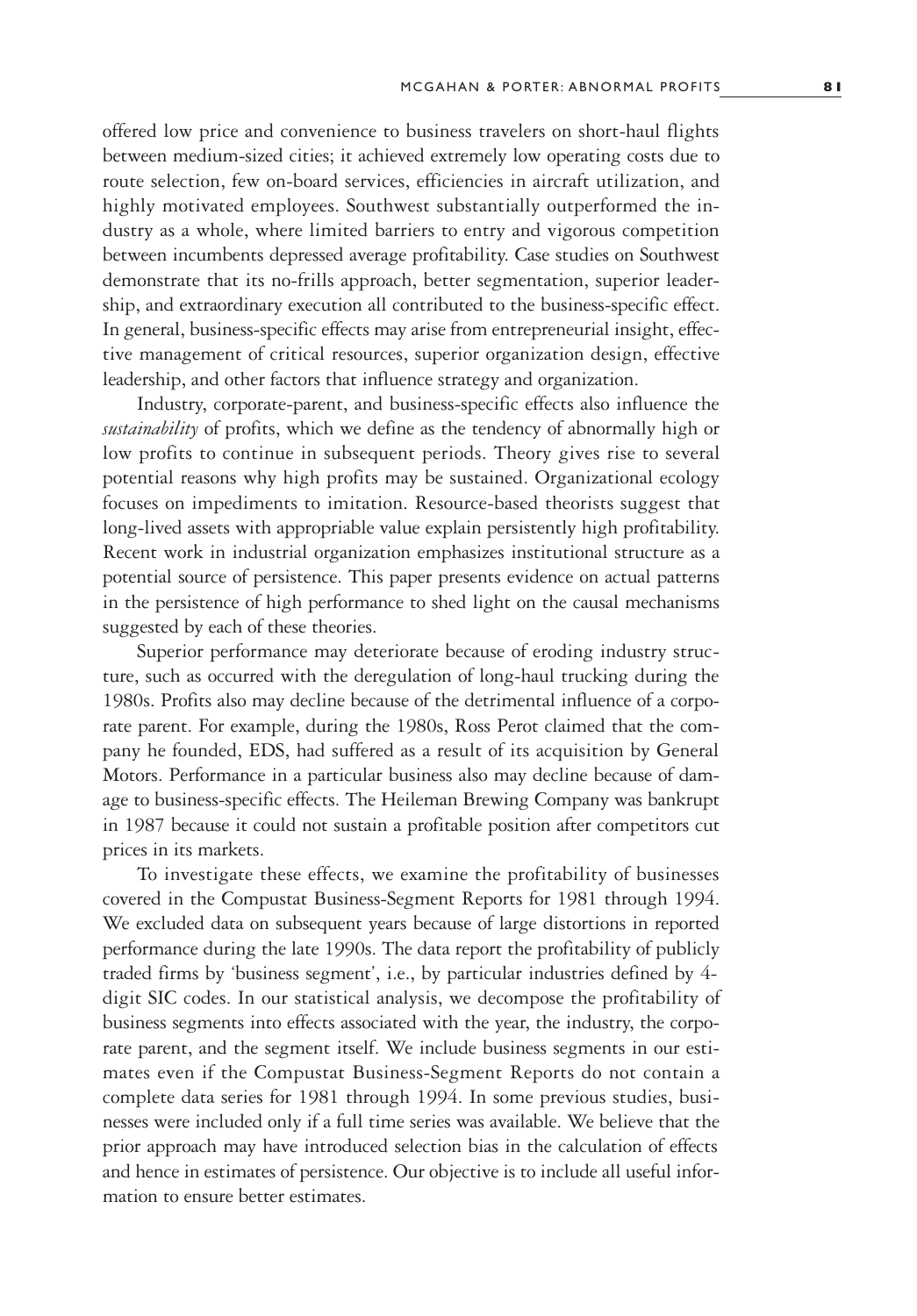offered low price and convenience to business travelers on short-haul flights between medium-sized cities; it achieved extremely low operating costs due to route selection, few on-board services, efficiencies in aircraft utilization, and highly motivated employees. Southwest substantially outperformed the industry as a whole, where limited barriers to entry and vigorous competition between incumbents depressed average profitability. Case studies on Southwest demonstrate that its no-frills approach, better segmentation, superior leadership, and extraordinary execution all contributed to the business-specific effect. In general, business-specific effects may arise from entrepreneurial insight, effective management of critical resources, superior organization design, effective leadership, and other factors that influence strategy and organization.

Industry, corporate-parent, and business-specific effects also influence the *sustainability* of profits, which we define as the tendency of abnormally high or low profits to continue in subsequent periods. Theory gives rise to several potential reasons why high profits may be sustained. Organizational ecology focuses on impediments to imitation. Resource-based theorists suggest that long-lived assets with appropriable value explain persistently high profitability. Recent work in industrial organization emphasizes institutional structure as a potential source of persistence. This paper presents evidence on actual patterns in the persistence of high performance to shed light on the causal mechanisms suggested by each of these theories.

Superior performance may deteriorate because of eroding industry structure, such as occurred with the deregulation of long-haul trucking during the 1980s. Profits also may decline because of the detrimental influence of a corporate parent. For example, during the 1980s, Ross Perot claimed that the company he founded, EDS, had suffered as a result of its acquisition by General Motors. Performance in a particular business also may decline because of damage to business-specific effects. The Heileman Brewing Company was bankrupt in 1987 because it could not sustain a profitable position after competitors cut prices in its markets.

To investigate these effects, we examine the profitability of businesses covered in the Compustat Business-Segment Reports for 1981 through 1994. We excluded data on subsequent years because of large distortions in reported performance during the late 1990s. The data report the profitability of publicly traded firms by 'business segment', i.e., by particular industries defined by 4 digit SIC codes. In our statistical analysis, we decompose the profitability of business segments into effects associated with the year, the industry, the corporate parent, and the segment itself. We include business segments in our estimates even if the Compustat Business-Segment Reports do not contain a complete data series for 1981 through 1994. In some previous studies, businesses were included only if a full time series was available. We believe that the prior approach may have introduced selection bias in the calculation of effects and hence in estimates of persistence. Our objective is to include all useful information to ensure better estimates.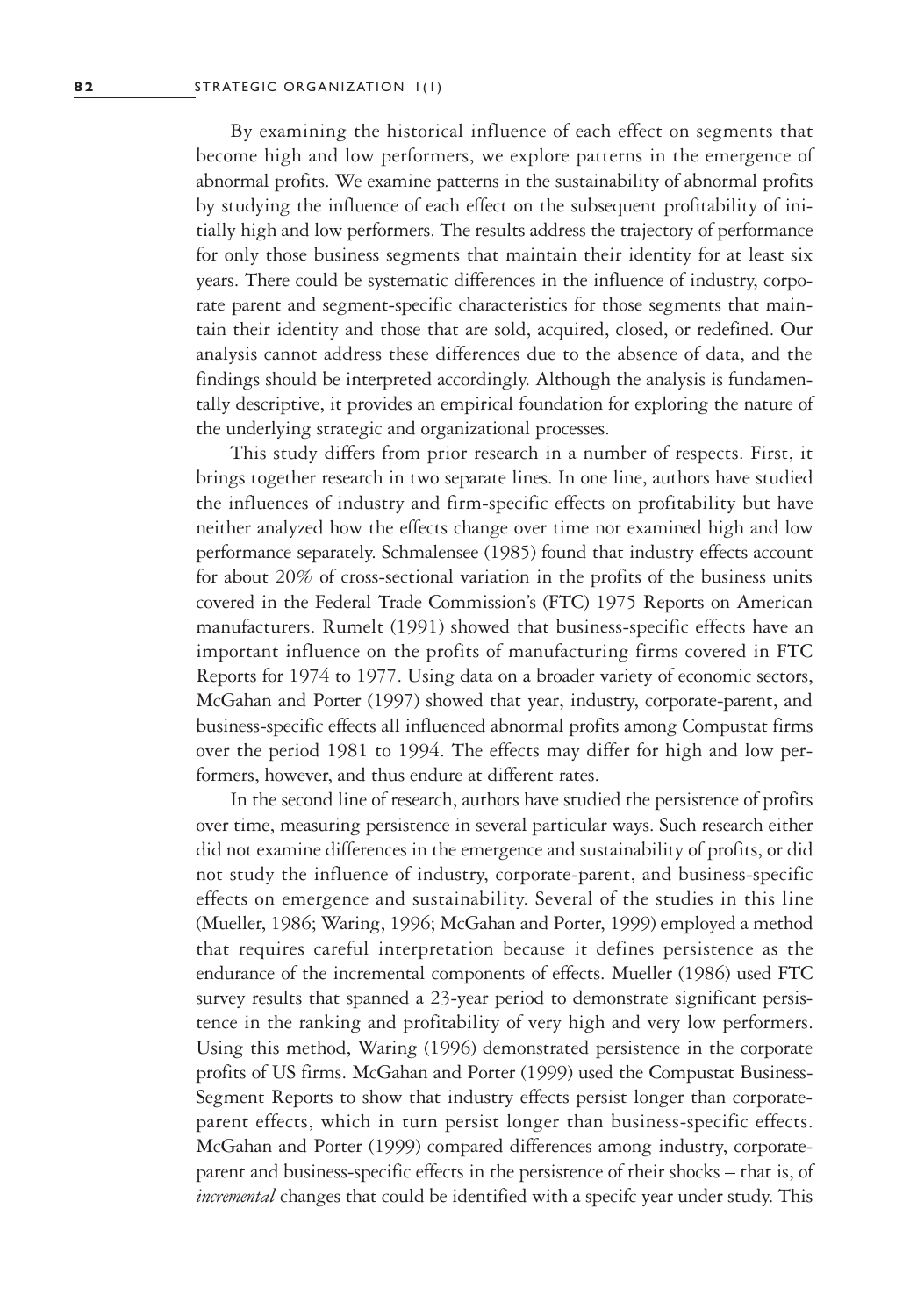By examining the historical influence of each effect on segments that become high and low performers, we explore patterns in the emergence of abnormal profits. We examine patterns in the sustainability of abnormal profits by studying the influence of each effect on the subsequent profitability of initially high and low performers. The results address the trajectory of performance for only those business segments that maintain their identity for at least six years. There could be systematic differences in the influence of industry, corporate parent and segment-specific characteristics for those segments that maintain their identity and those that are sold, acquired, closed, or redefined. Our analysis cannot address these differences due to the absence of data, and the findings should be interpreted accordingly. Although the analysis is fundamentally descriptive, it provides an empirical foundation for exploring the nature of the underlying strategic and organizational processes.

This study differs from prior research in a number of respects. First, it brings together research in two separate lines. In one line, authors have studied the influences of industry and firm-specific effects on profitability but have neither analyzed how the effects change over time nor examined high and low performance separately. Schmalensee (1985) found that industry effects account for about 20% of cross-sectional variation in the profits of the business units covered in the Federal Trade Commission's (FTC) 1975 Reports on American manufacturers. Rumelt (1991) showed that business-specific effects have an important influence on the profits of manufacturing firms covered in FTC Reports for 1974 to 1977. Using data on a broader variety of economic sectors, McGahan and Porter (1997) showed that year, industry, corporate-parent, and business-specific effects all influenced abnormal profits among Compustat firms over the period 1981 to 1994. The effects may differ for high and low performers, however, and thus endure at different rates.

In the second line of research, authors have studied the persistence of profits over time, measuring persistence in several particular ways. Such research either did not examine differences in the emergence and sustainability of profits, or did not study the influence of industry, corporate-parent, and business-specific effects on emergence and sustainability. Several of the studies in this line (Mueller, 1986; Waring, 1996; McGahan and Porter, 1999) employed a method that requires careful interpretation because it defines persistence as the endurance of the incremental components of effects. Mueller (1986) used FTC survey results that spanned a 23-year period to demonstrate significant persistence in the ranking and profitability of very high and very low performers. Using this method, Waring (1996) demonstrated persistence in the corporate profits of US firms. McGahan and Porter (1999) used the Compustat Business-Segment Reports to show that industry effects persist longer than corporateparent effects, which in turn persist longer than business-specific effects. McGahan and Porter (1999) compared differences among industry, corporateparent and business-specific effects in the persistence of their shocks – that is, of *incremental* changes that could be identified with a specifc year under study. This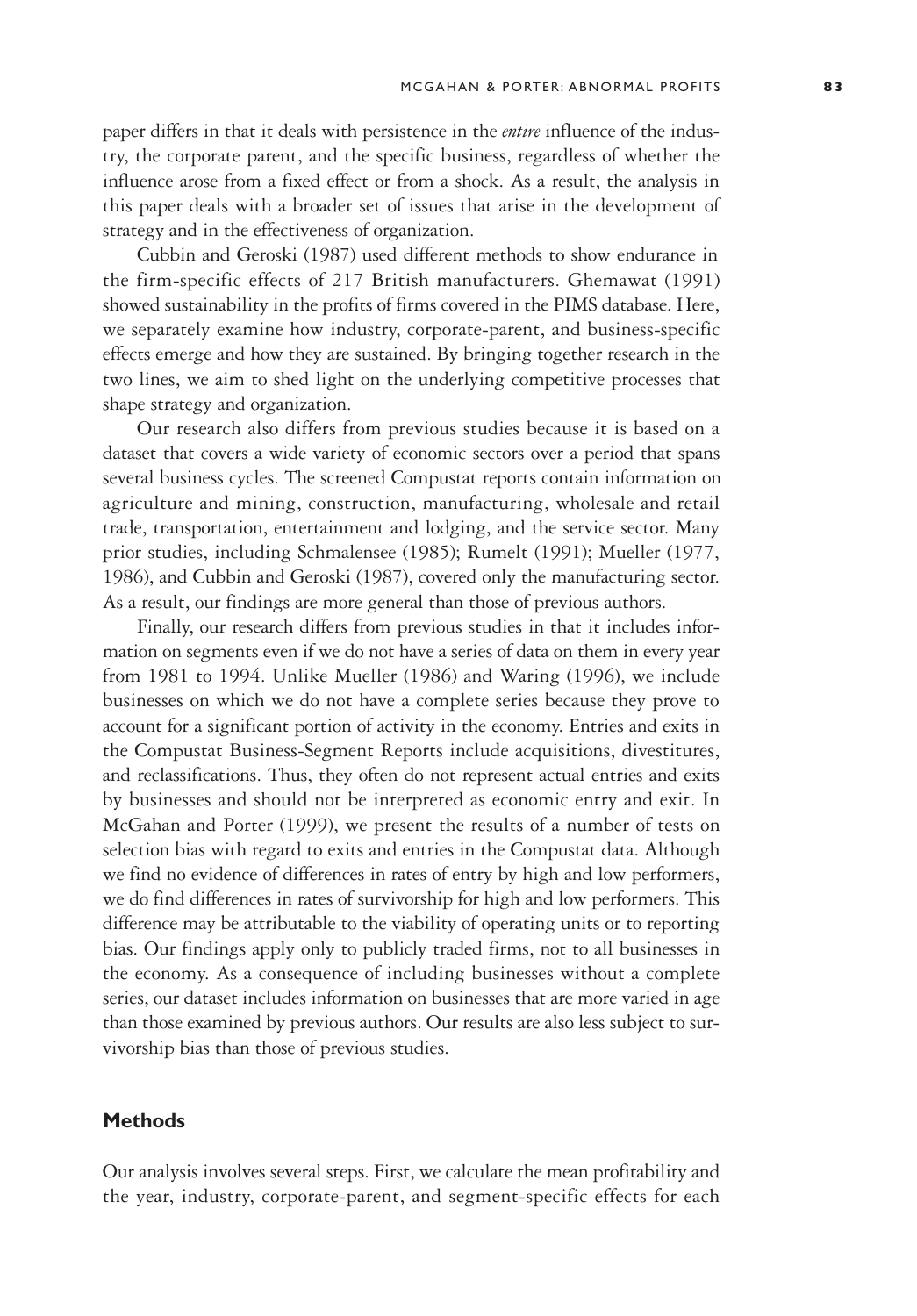paper differs in that it deals with persistence in the *entire* influence of the industry, the corporate parent, and the specific business, regardless of whether the influence arose from a fixed effect or from a shock. As a result, the analysis in this paper deals with a broader set of issues that arise in the development of strategy and in the effectiveness of organization.

Cubbin and Geroski (1987) used different methods to show endurance in the firm-specific effects of 217 British manufacturers. Ghemawat (1991) showed sustainability in the profits of firms covered in the PIMS database. Here, we separately examine how industry, corporate-parent, and business-specific effects emerge and how they are sustained. By bringing together research in the two lines, we aim to shed light on the underlying competitive processes that shape strategy and organization.

Our research also differs from previous studies because it is based on a dataset that covers a wide variety of economic sectors over a period that spans several business cycles. The screened Compustat reports contain information on agriculture and mining, construction, manufacturing, wholesale and retail trade, transportation, entertainment and lodging, and the service sector. Many prior studies, including Schmalensee (1985); Rumelt (1991); Mueller (1977, 1986), and Cubbin and Geroski (1987), covered only the manufacturing sector. As a result, our findings are more general than those of previous authors.

Finally, our research differs from previous studies in that it includes information on segments even if we do not have a series of data on them in every year from 1981 to 1994. Unlike Mueller (1986) and Waring (1996), we include businesses on which we do not have a complete series because they prove to account for a significant portion of activity in the economy. Entries and exits in the Compustat Business-Segment Reports include acquisitions, divestitures, and reclassifications. Thus, they often do not represent actual entries and exits by businesses and should not be interpreted as economic entry and exit. In McGahan and Porter (1999), we present the results of a number of tests on selection bias with regard to exits and entries in the Compustat data. Although we find no evidence of differences in rates of entry by high and low performers, we do find differences in rates of survivorship for high and low performers. This difference may be attributable to the viability of operating units or to reporting bias. Our findings apply only to publicly traded firms, not to all businesses in the economy. As a consequence of including businesses without a complete series, our dataset includes information on businesses that are more varied in age than those examined by previous authors. Our results are also less subject to survivorship bias than those of previous studies.

# **Methods**

Our analysis involves several steps. First, we calculate the mean profitability and the year, industry, corporate-parent, and segment-specific effects for each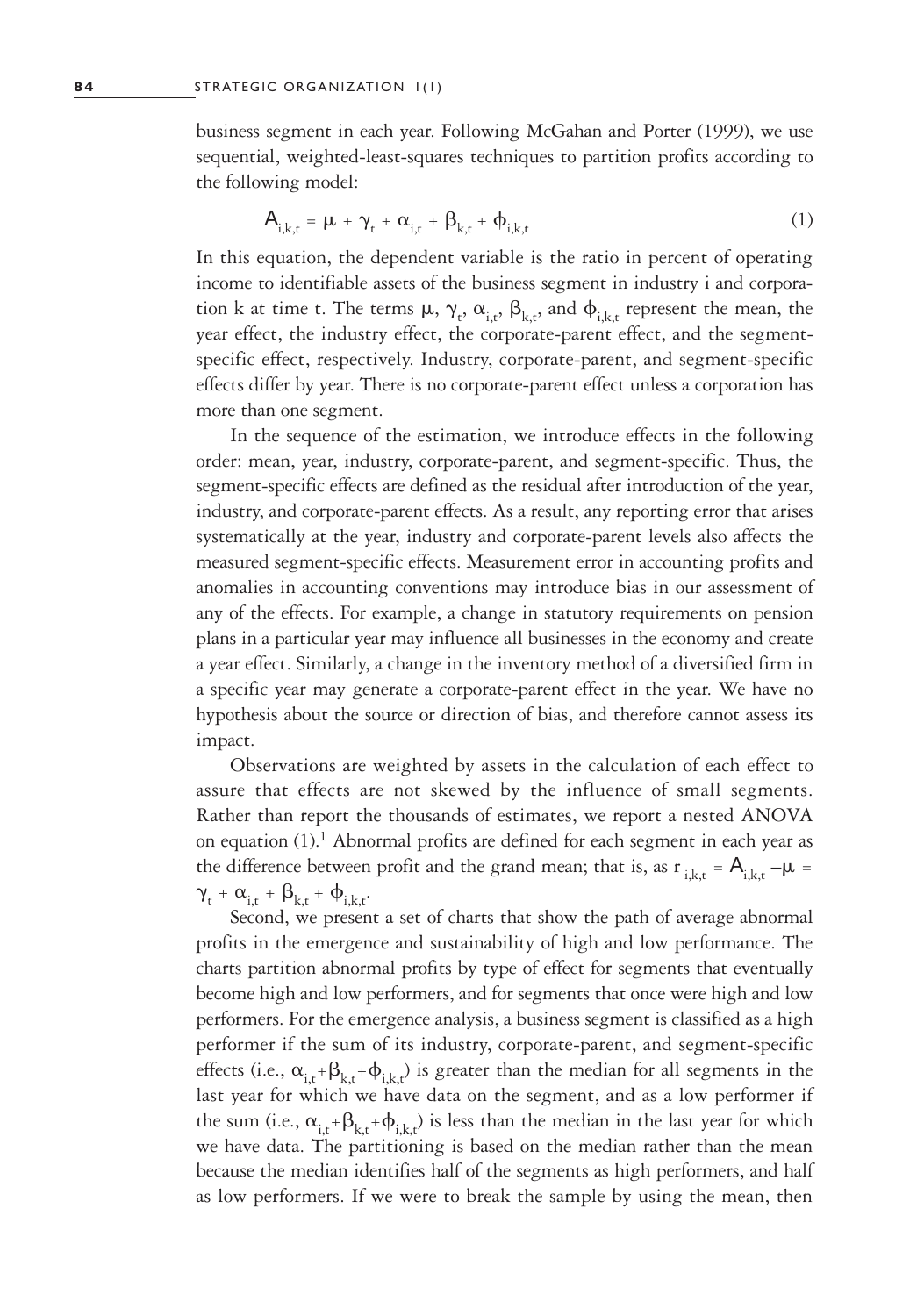business segment in each year. Following McGahan and Porter (1999), we use sequential, weighted-least-squares techniques to partition profits according to the following model:

$$
\mathbf{A}_{i,k,t} = \mu + \gamma_t + \alpha_{i,t} + \beta_{k,t} + \phi_{i,k,t} \tag{1}
$$

In this equation, the dependent variable is the ratio in percent of operating income to identifiable assets of the business segment in industry i and corporation k at time t. The terms  $\mu$ ,  $\gamma_t$ ,  $\alpha_{i,t}$ ,  $\beta_{k,t}$ , and  $\phi_{i,k,t}$  represent the mean, the year effect, the industry effect, the corporate-parent effect, and the segmentspecific effect, respectively. Industry, corporate-parent, and segment-specific effects differ by year. There is no corporate-parent effect unless a corporation has more than one segment.

In the sequence of the estimation, we introduce effects in the following order: mean, year, industry, corporate-parent, and segment-specific. Thus, the segment-specific effects are defined as the residual after introduction of the year, industry, and corporate-parent effects. As a result, any reporting error that arises systematically at the year, industry and corporate-parent levels also affects the measured segment-specific effects. Measurement error in accounting profits and anomalies in accounting conventions may introduce bias in our assessment of any of the effects. For example, a change in statutory requirements on pension plans in a particular year may influence all businesses in the economy and create a year effect. Similarly, a change in the inventory method of a diversified firm in a specific year may generate a corporate-parent effect in the year. We have no hypothesis about the source or direction of bias, and therefore cannot assess its impact.

Observations are weighted by assets in the calculation of each effect to assure that effects are not skewed by the influence of small segments. Rather than report the thousands of estimates, we report a nested ANOVA on equation (1).<sup>1</sup> Abnormal profits are defined for each segment in each year as the difference between profit and the grand mean; that is, as  $r_{i,k,t} = A_{i,k,t} - \mu$  $\gamma_t + \alpha_{i,t} + \beta_{k,t} + \phi_{i,k,t}.$ 

Second, we present a set of charts that show the path of average abnormal profits in the emergence and sustainability of high and low performance. The charts partition abnormal profits by type of effect for segments that eventually become high and low performers, and for segments that once were high and low performers. For the emergence analysis, a business segment is classified as a high performer if the sum of its industry, corporate-parent, and segment-specific effects (i.e.,  $\alpha_{i,t}$ + $\beta_{k,t}$ + $\phi_{i,k,t}$ ) is greater than the median for all segments in the last year for which we have data on the segment, and as a low performer if the sum (i.e.,  $\alpha_{i,t}+\beta_{k,t}+\phi_{i,k,t}$ ) is less than the median in the last year for which we have data. The partitioning is based on the median rather than the mean because the median identifies half of the segments as high performers, and half as low performers. If we were to break the sample by using the mean, then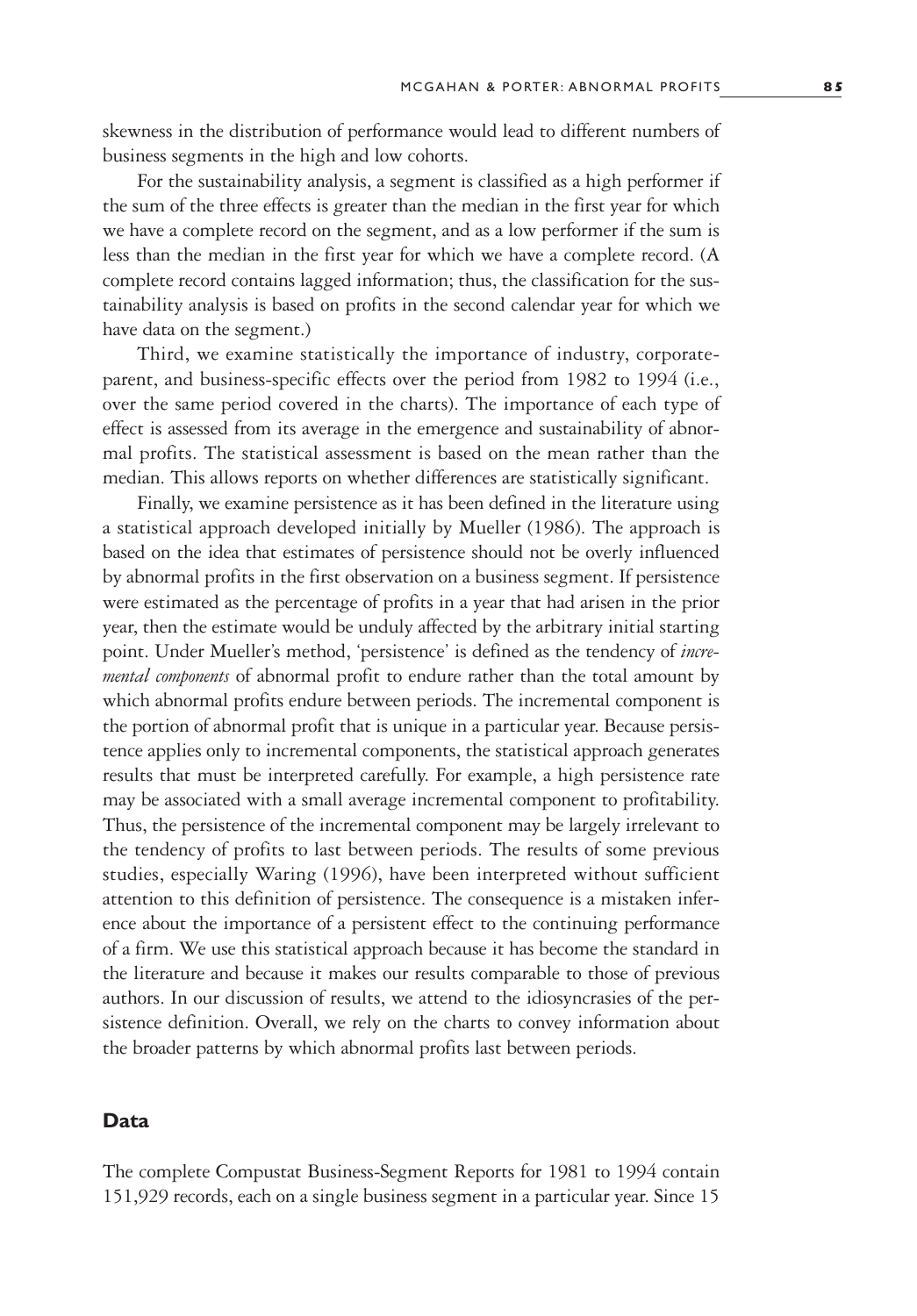skewness in the distribution of performance would lead to different numbers of business segments in the high and low cohorts.

For the sustainability analysis, a segment is classified as a high performer if the sum of the three effects is greater than the median in the first year for which we have a complete record on the segment, and as a low performer if the sum is less than the median in the first year for which we have a complete record. (A complete record contains lagged information; thus, the classification for the sustainability analysis is based on profits in the second calendar year for which we have data on the segment.)

Third, we examine statistically the importance of industry, corporateparent, and business-specific effects over the period from 1982 to 1994 (i.e., over the same period covered in the charts). The importance of each type of effect is assessed from its average in the emergence and sustainability of abnormal profits. The statistical assessment is based on the mean rather than the median. This allows reports on whether differences are statistically significant.

Finally, we examine persistence as it has been defined in the literature using a statistical approach developed initially by Mueller (1986). The approach is based on the idea that estimates of persistence should not be overly influenced by abnormal profits in the first observation on a business segment. If persistence were estimated as the percentage of profits in a year that had arisen in the prior year, then the estimate would be unduly affected by the arbitrary initial starting point. Under Mueller's method, 'persistence' is defined as the tendency of *incremental components* of abnormal profit to endure rather than the total amount by which abnormal profits endure between periods. The incremental component is the portion of abnormal profit that is unique in a particular year. Because persistence applies only to incremental components, the statistical approach generates results that must be interpreted carefully. For example, a high persistence rate may be associated with a small average incremental component to profitability. Thus, the persistence of the incremental component may be largely irrelevant to the tendency of profits to last between periods. The results of some previous studies, especially Waring (1996), have been interpreted without sufficient attention to this definition of persistence. The consequence is a mistaken inference about the importance of a persistent effect to the continuing performance of a firm. We use this statistical approach because it has become the standard in the literature and because it makes our results comparable to those of previous authors. In our discussion of results, we attend to the idiosyncrasies of the persistence definition. Overall, we rely on the charts to convey information about the broader patterns by which abnormal profits last between periods.

# **Data**

The complete Compustat Business-Segment Reports for 1981 to 1994 contain 151,929 records, each on a single business segment in a particular year. Since 15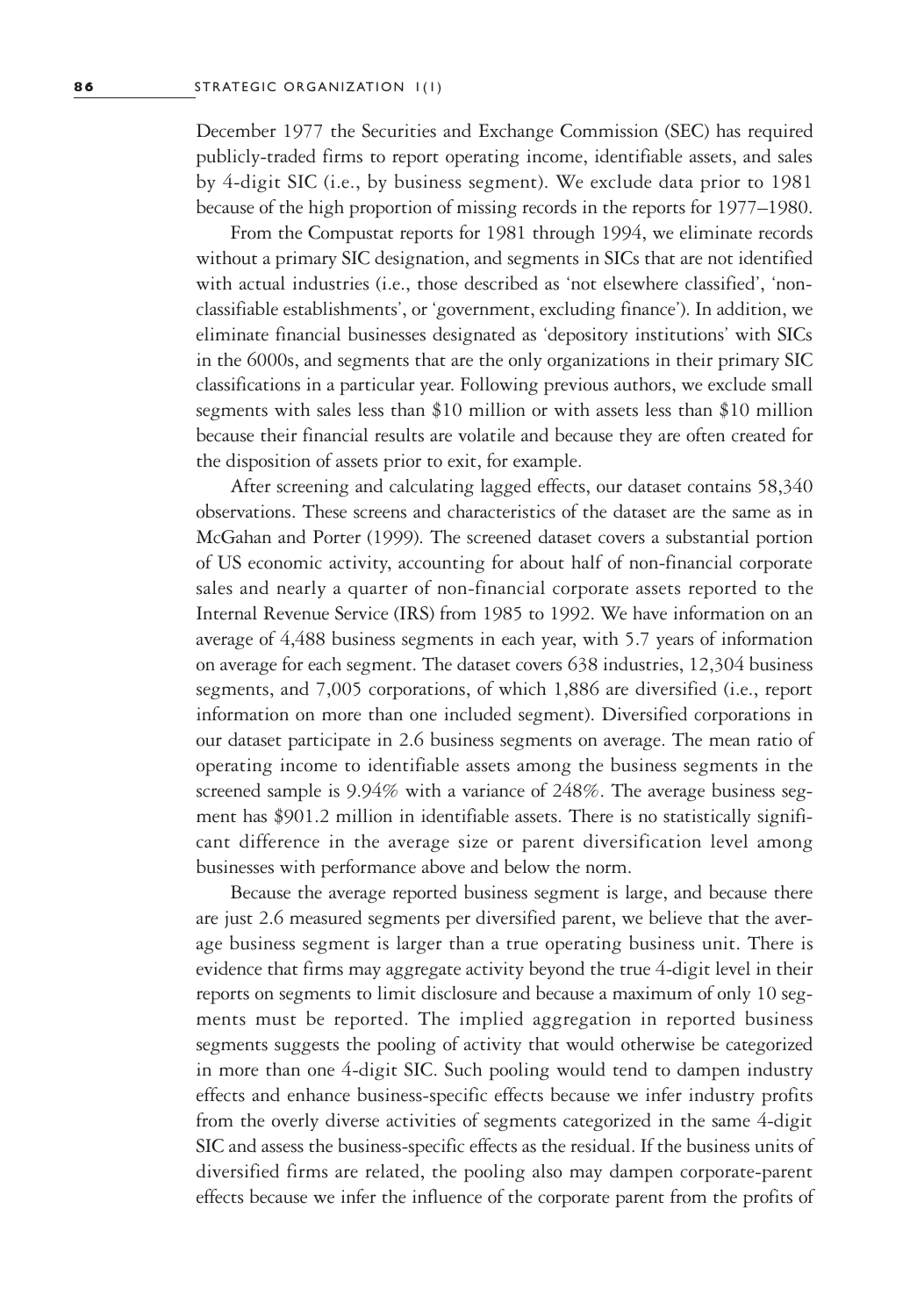December 1977 the Securities and Exchange Commission (SEC) has required publicly-traded firms to report operating income, identifiable assets, and sales by 4-digit SIC (i.e., by business segment). We exclude data prior to 1981 because of the high proportion of missing records in the reports for 1977–1980.

From the Compustat reports for 1981 through 1994, we eliminate records without a primary SIC designation, and segments in SICs that are not identified with actual industries (i.e., those described as 'not elsewhere classified', 'nonclassifiable establishments', or 'government, excluding finance'). In addition, we eliminate financial businesses designated as 'depository institutions' with SICs in the 6000s, and segments that are the only organizations in their primary SIC classifications in a particular year. Following previous authors, we exclude small segments with sales less than \$10 million or with assets less than \$10 million because their financial results are volatile and because they are often created for the disposition of assets prior to exit, for example.

After screening and calculating lagged effects, our dataset contains 58,340 observations. These screens and characteristics of the dataset are the same as in McGahan and Porter (1999). The screened dataset covers a substantial portion of US economic activity, accounting for about half of non-financial corporate sales and nearly a quarter of non-financial corporate assets reported to the Internal Revenue Service (IRS) from 1985 to 1992. We have information on an average of 4,488 business segments in each year, with 5.7 years of information on average for each segment. The dataset covers 638 industries, 12,304 business segments, and 7,005 corporations, of which 1,886 are diversified (i.e., report information on more than one included segment). Diversified corporations in our dataset participate in 2.6 business segments on average. The mean ratio of operating income to identifiable assets among the business segments in the screened sample is 9.94% with a variance of 248%. The average business segment has \$901.2 million in identifiable assets. There is no statistically significant difference in the average size or parent diversification level among businesses with performance above and below the norm.

Because the average reported business segment is large, and because there are just 2.6 measured segments per diversified parent, we believe that the average business segment is larger than a true operating business unit. There is evidence that firms may aggregate activity beyond the true 4-digit level in their reports on segments to limit disclosure and because a maximum of only 10 segments must be reported. The implied aggregation in reported business segments suggests the pooling of activity that would otherwise be categorized in more than one 4-digit SIC. Such pooling would tend to dampen industry effects and enhance business-specific effects because we infer industry profits from the overly diverse activities of segments categorized in the same 4-digit SIC and assess the business-specific effects as the residual. If the business units of diversified firms are related, the pooling also may dampen corporate-parent effects because we infer the influence of the corporate parent from the profits of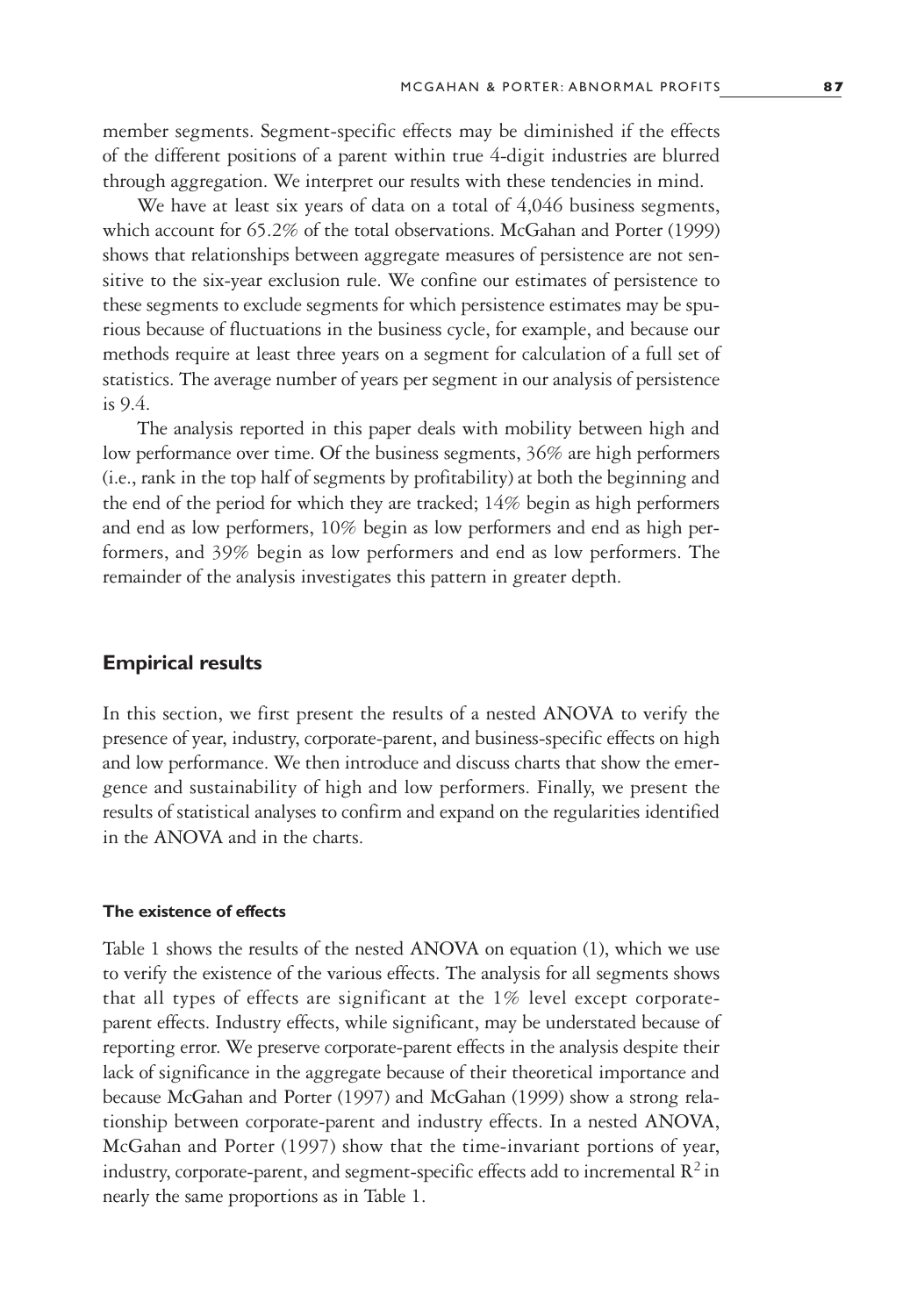member segments. Segment-specific effects may be diminished if the effects of the different positions of a parent within true 4-digit industries are blurred through aggregation. We interpret our results with these tendencies in mind.

We have at least six years of data on a total of 4,046 business segments, which account for 65.2% of the total observations. McGahan and Porter (1999) shows that relationships between aggregate measures of persistence are not sensitive to the six-year exclusion rule. We confine our estimates of persistence to these segments to exclude segments for which persistence estimates may be spurious because of fluctuations in the business cycle, for example, and because our methods require at least three years on a segment for calculation of a full set of statistics. The average number of years per segment in our analysis of persistence is 9.4.

The analysis reported in this paper deals with mobility between high and low performance over time. Of the business segments, 36% are high performers (i.e., rank in the top half of segments by profitability) at both the beginning and the end of the period for which they are tracked; 14% begin as high performers and end as low performers, 10% begin as low performers and end as high performers, and 39% begin as low performers and end as low performers. The remainder of the analysis investigates this pattern in greater depth.

# **Empirical results**

In this section, we first present the results of a nested ANOVA to verify the presence of year, industry, corporate-parent, and business-specific effects on high and low performance. We then introduce and discuss charts that show the emergence and sustainability of high and low performers. Finally, we present the results of statistical analyses to confirm and expand on the regularities identified in the ANOVA and in the charts.

#### **The existence of effects**

Table 1 shows the results of the nested ANOVA on equation (1), which we use to verify the existence of the various effects. The analysis for all segments shows that all types of effects are significant at the 1% level except corporateparent effects. Industry effects, while significant, may be understated because of reporting error. We preserve corporate-parent effects in the analysis despite their lack of significance in the aggregate because of their theoretical importance and because McGahan and Porter (1997) and McGahan (1999) show a strong relationship between corporate-parent and industry effects. In a nested ANOVA, McGahan and Porter (1997) show that the time-invariant portions of year, industry, corporate-parent, and segment-specific effects add to incremental  $\mathbb{R}^2$  in nearly the same proportions as in Table 1.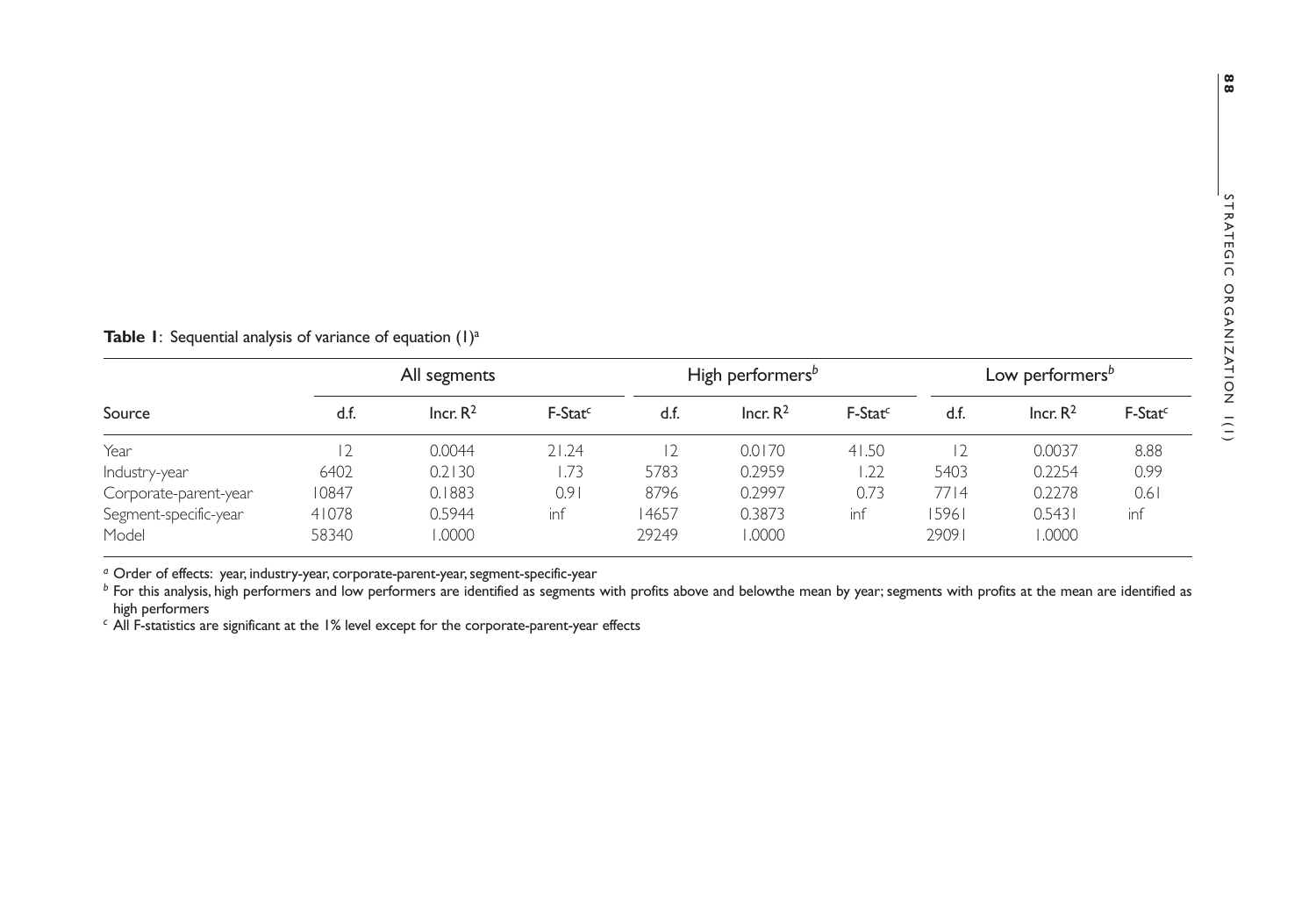|  |  |  |  |  |  | <b>Table 1:</b> Sequential analysis of variance of equation $(1)^d$ |  |  |  |  |  |  |  |  |  |
|--|--|--|--|--|--|---------------------------------------------------------------------|--|--|--|--|--|--|--|--|--|
|--|--|--|--|--|--|---------------------------------------------------------------------|--|--|--|--|--|--|--|--|--|

|                       |       | All segments         |                     | High performers <sup>b</sup> | Low performers <sup>b</sup> |                     |       |                      |           |
|-----------------------|-------|----------------------|---------------------|------------------------------|-----------------------------|---------------------|-------|----------------------|-----------|
| Source                | d.f.  | Incr, R <sup>2</sup> | F-Stat <sup>c</sup> | d.f.                         | Incr, R <sup>2</sup>        | F-Stat <sup>c</sup> | d.f.  | Incr, R <sup>2</sup> | $F-Statc$ |
| Year                  |       | 0.0044               | 21.24               |                              | 0.0170                      | 41.50               |       | 0.0037               | 8.88      |
| Industry-year         | 6402  | 0.2130               | 1.73                | 5783                         | 0.2959                      | .22                 | 5403  | 0.2254               | 0.99      |
| Corporate-parent-year | 10847 | 0.1883               | 0.91                | 8796                         | 0.2997                      | 0.73                | 7714  | 0.2278               | 0.61      |
| Segment-specific-year | 41078 | 0.5944               | inf                 | 4657                         | 0.3873                      | inf                 | 15961 | 0.5431               | inf       |
| Model                 | 58340 | 1.0000               |                     | 29249                        | 0000.1                      |                     | 29091 | 0000.                |           |

<sup>a</sup> Order of effects: year, industry-year, corporate-parent-year, segment-specific-year<br><sup>b</sup> For this analysis, high performers and low performers are identified as segments with profits above and belowthe mean by year; seg high performers

*c* All F-statistics are significant at the 1% level except for the corporate-parent-year effects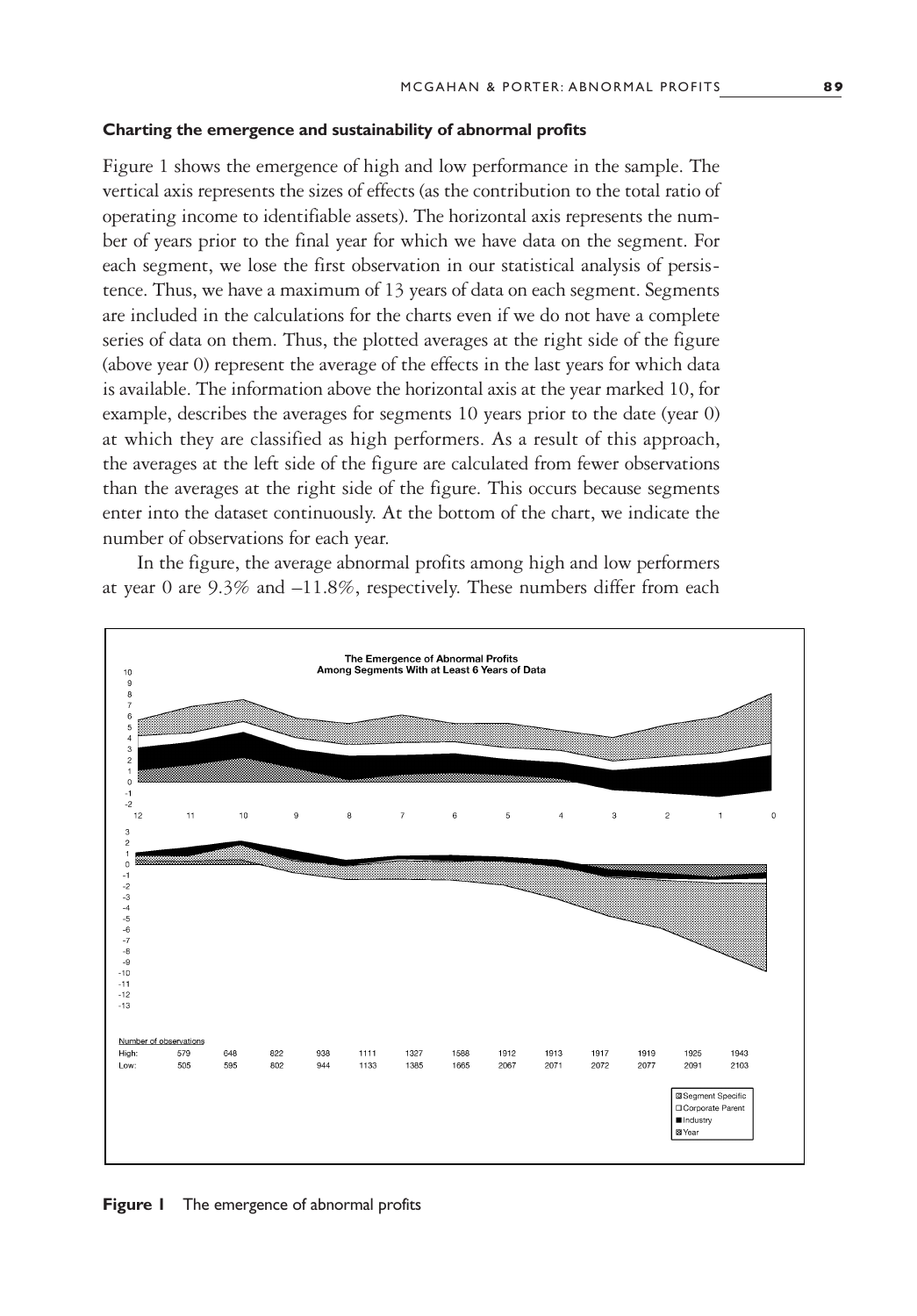#### **Charting the emergence and sustainability of abnormal profits**

Figure 1 shows the emergence of high and low performance in the sample. The vertical axis represents the sizes of effects (as the contribution to the total ratio of operating income to identifiable assets). The horizontal axis represents the number of years prior to the final year for which we have data on the segment. For each segment, we lose the first observation in our statistical analysis of persistence. Thus, we have a maximum of 13 years of data on each segment. Segments are included in the calculations for the charts even if we do not have a complete series of data on them. Thus, the plotted averages at the right side of the figure (above year 0) represent the average of the effects in the last years for which data is available. The information above the horizontal axis at the year marked 10, for example, describes the averages for segments 10 years prior to the date (year 0) at which they are classified as high performers. As a result of this approach, the averages at the left side of the figure are calculated from fewer observations than the averages at the right side of the figure. This occurs because segments enter into the dataset continuously. At the bottom of the chart, we indicate the number of observations for each year.

In the figure, the average abnormal profits among high and low performers at year 0 are 9.3% and –11.8%, respectively. These numbers differ from each



**Figure 1** The emergence of abnormal profits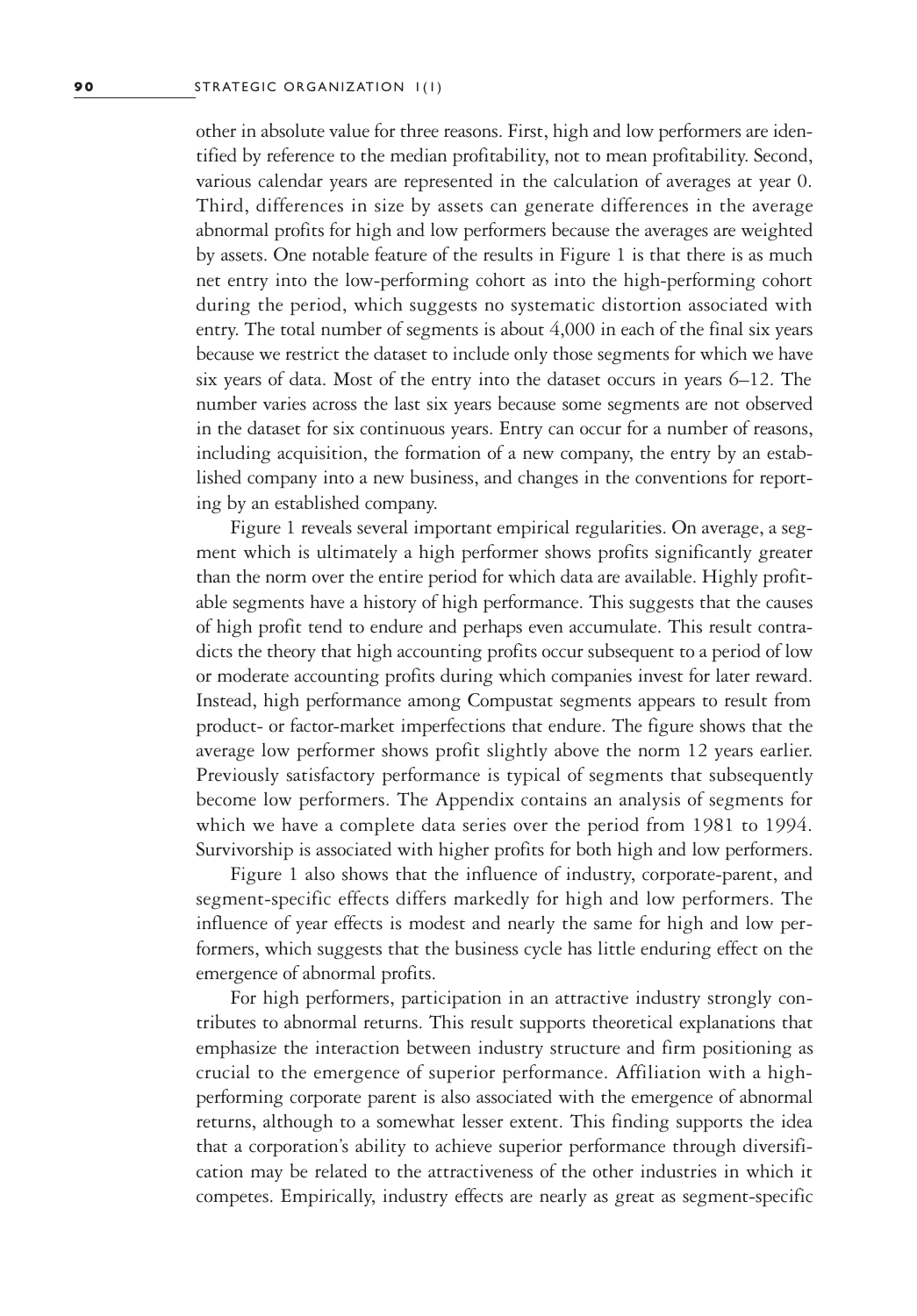other in absolute value for three reasons. First, high and low performers are identified by reference to the median profitability, not to mean profitability. Second, various calendar years are represented in the calculation of averages at year 0. Third, differences in size by assets can generate differences in the average abnormal profits for high and low performers because the averages are weighted by assets. One notable feature of the results in Figure 1 is that there is as much net entry into the low-performing cohort as into the high-performing cohort during the period, which suggests no systematic distortion associated with entry. The total number of segments is about 4,000 in each of the final six years because we restrict the dataset to include only those segments for which we have six years of data. Most of the entry into the dataset occurs in years 6–12. The number varies across the last six years because some segments are not observed in the dataset for six continuous years. Entry can occur for a number of reasons, including acquisition, the formation of a new company, the entry by an established company into a new business, and changes in the conventions for reporting by an established company.

Figure 1 reveals several important empirical regularities. On average, a segment which is ultimately a high performer shows profits significantly greater than the norm over the entire period for which data are available. Highly profitable segments have a history of high performance. This suggests that the causes of high profit tend to endure and perhaps even accumulate. This result contradicts the theory that high accounting profits occur subsequent to a period of low or moderate accounting profits during which companies invest for later reward. Instead, high performance among Compustat segments appears to result from product- or factor-market imperfections that endure. The figure shows that the average low performer shows profit slightly above the norm 12 years earlier. Previously satisfactory performance is typical of segments that subsequently become low performers. The Appendix contains an analysis of segments for which we have a complete data series over the period from 1981 to 1994. Survivorship is associated with higher profits for both high and low performers.

Figure 1 also shows that the influence of industry, corporate-parent, and segment-specific effects differs markedly for high and low performers. The influence of year effects is modest and nearly the same for high and low performers, which suggests that the business cycle has little enduring effect on the emergence of abnormal profits.

For high performers, participation in an attractive industry strongly contributes to abnormal returns. This result supports theoretical explanations that emphasize the interaction between industry structure and firm positioning as crucial to the emergence of superior performance. Affiliation with a highperforming corporate parent is also associated with the emergence of abnormal returns, although to a somewhat lesser extent. This finding supports the idea that a corporation's ability to achieve superior performance through diversification may be related to the attractiveness of the other industries in which it competes. Empirically, industry effects are nearly as great as segment-specific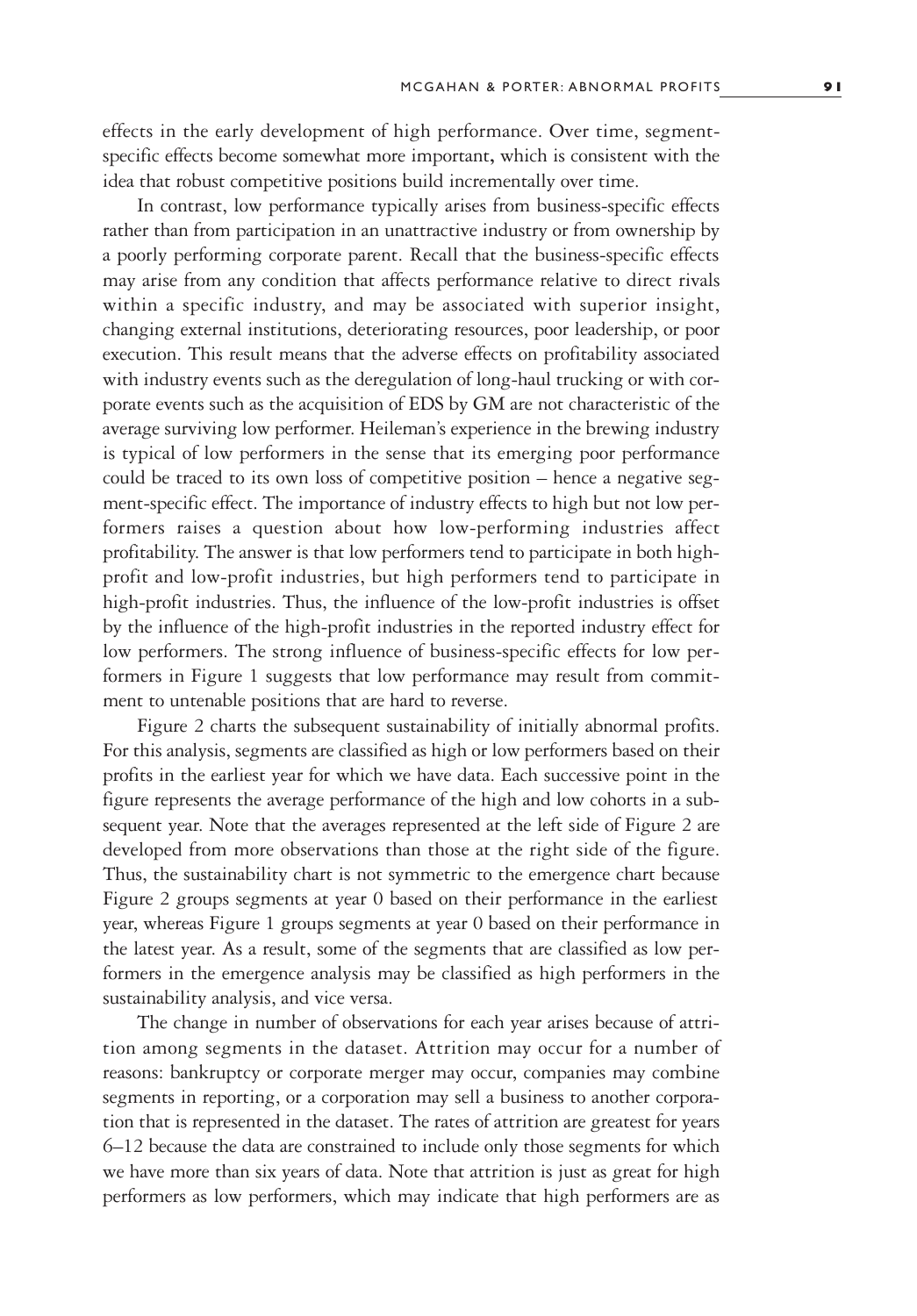effects in the early development of high performance. Over time, segmentspecific effects become somewhat more important**,** which is consistent with the idea that robust competitive positions build incrementally over time.

In contrast, low performance typically arises from business-specific effects rather than from participation in an unattractive industry or from ownership by a poorly performing corporate parent. Recall that the business-specific effects may arise from any condition that affects performance relative to direct rivals within a specific industry, and may be associated with superior insight, changing external institutions, deteriorating resources, poor leadership, or poor execution. This result means that the adverse effects on profitability associated with industry events such as the deregulation of long-haul trucking or with corporate events such as the acquisition of EDS by GM are not characteristic of the average surviving low performer. Heileman's experience in the brewing industry is typical of low performers in the sense that its emerging poor performance could be traced to its own loss of competitive position – hence a negative segment-specific effect. The importance of industry effects to high but not low performers raises a question about how low-performing industries affect profitability. The answer is that low performers tend to participate in both highprofit and low-profit industries, but high performers tend to participate in high-profit industries. Thus, the influence of the low-profit industries is offset by the influence of the high-profit industries in the reported industry effect for low performers. The strong influence of business-specific effects for low performers in Figure 1 suggests that low performance may result from commitment to untenable positions that are hard to reverse.

Figure 2 charts the subsequent sustainability of initially abnormal profits. For this analysis, segments are classified as high or low performers based on their profits in the earliest year for which we have data. Each successive point in the figure represents the average performance of the high and low cohorts in a subsequent year. Note that the averages represented at the left side of Figure 2 are developed from more observations than those at the right side of the figure. Thus, the sustainability chart is not symmetric to the emergence chart because Figure 2 groups segments at year 0 based on their performance in the earliest year, whereas Figure 1 groups segments at year 0 based on their performance in the latest year. As a result, some of the segments that are classified as low performers in the emergence analysis may be classified as high performers in the sustainability analysis, and vice versa.

The change in number of observations for each year arises because of attrition among segments in the dataset. Attrition may occur for a number of reasons: bankruptcy or corporate merger may occur, companies may combine segments in reporting, or a corporation may sell a business to another corporation that is represented in the dataset. The rates of attrition are greatest for years 6–12 because the data are constrained to include only those segments for which we have more than six years of data. Note that attrition is just as great for high performers as low performers, which may indicate that high performers are as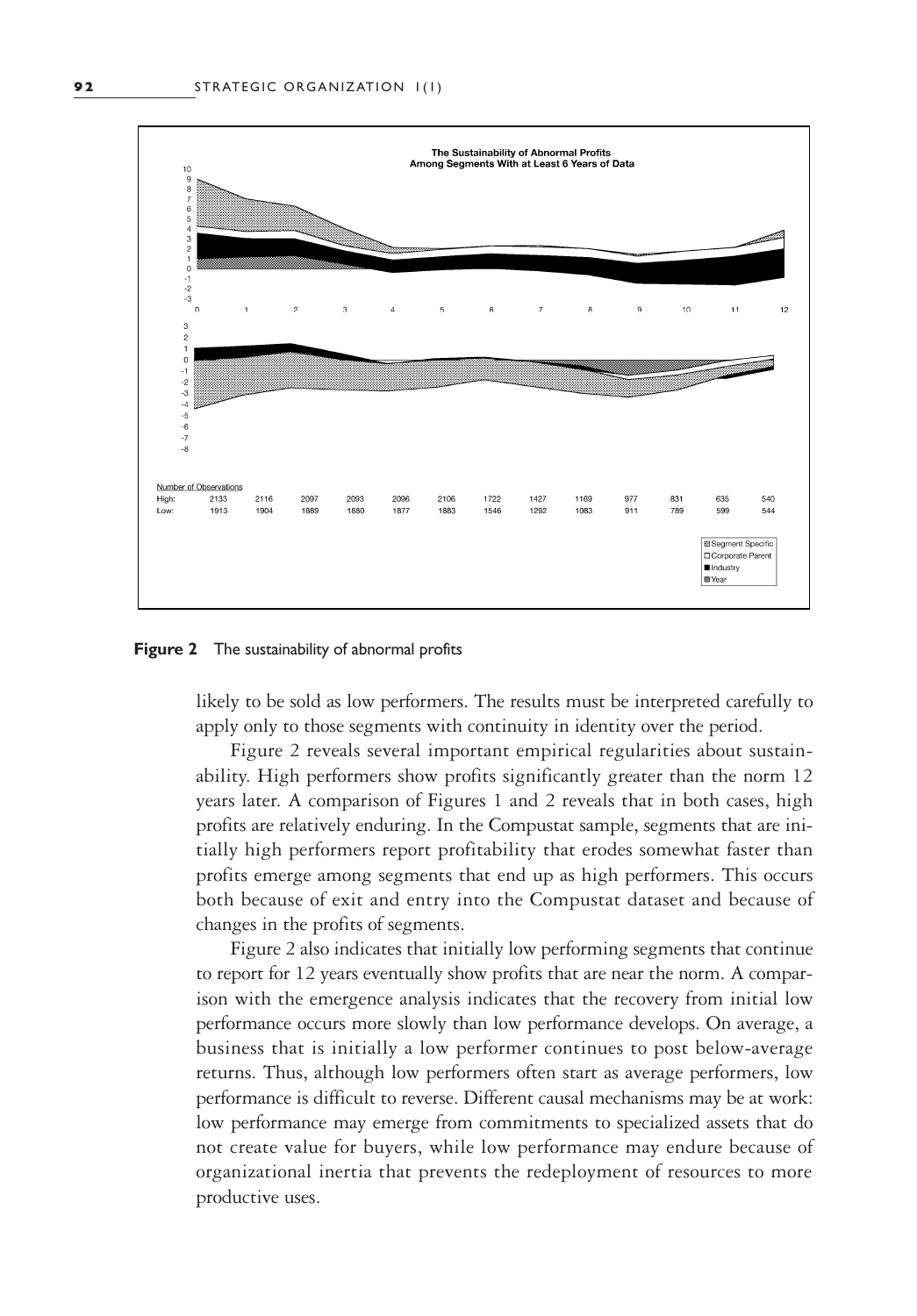

**Figure 2** The sustainability of abnormal profits

likely to be sold as low performers. The results must be interpreted carefully to apply only to those segments with continuity in identity over the period.

Figure 2 reveals several important empirical regularities about sustainability. High performers show profits significantly greater than the norm 12 years later. A comparison of Figures 1 and 2 reveals that in both cases, high profits are relatively enduring. In the Compustat sample, segments that are initially high performers report profitability that erodes somewhat faster than profits emerge among segments that end up as high performers. This occurs both because of exit and entry into the Compustat dataset and because of changes in the profits of segments.

Figure 2 also indicates that initially low performing segments that continue to report for 12 years eventually show profits that are near the norm. A comparison with the emergence analysis indicates that the recovery from initial low performance occurs more slowly than low performance develops. On average, a business that is initially a low performer continues to post below-average returns. Thus, although low performers often start as average performers, low performance is difficult to reverse. Different causal mechanisms may be at work: low performance may emerge from commitments to specialized assets that do not create value for buyers, while low performance may endure because of organizational inertia that prevents the redeployment of resources to more productive uses.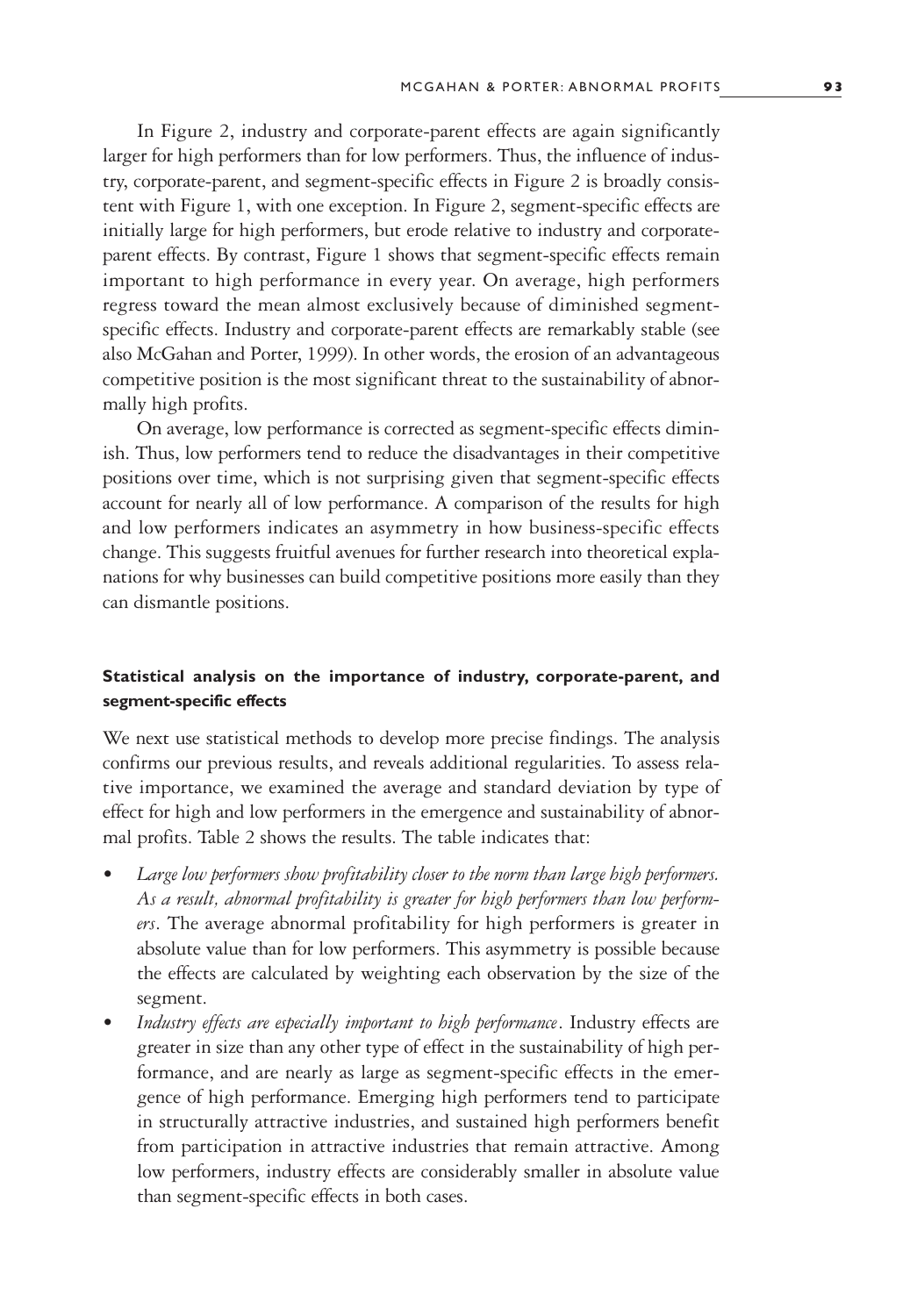In Figure 2, industry and corporate-parent effects are again significantly larger for high performers than for low performers. Thus, the influence of industry, corporate-parent, and segment-specific effects in Figure 2 is broadly consistent with Figure 1, with one exception. In Figure 2, segment-specific effects are initially large for high performers, but erode relative to industry and corporateparent effects. By contrast, Figure 1 shows that segment-specific effects remain important to high performance in every year. On average, high performers regress toward the mean almost exclusively because of diminished segmentspecific effects. Industry and corporate-parent effects are remarkably stable (see also McGahan and Porter, 1999). In other words, the erosion of an advantageous competitive position is the most significant threat to the sustainability of abnormally high profits.

On average, low performance is corrected as segment-specific effects diminish. Thus, low performers tend to reduce the disadvantages in their competitive positions over time, which is not surprising given that segment-specific effects account for nearly all of low performance. A comparison of the results for high and low performers indicates an asymmetry in how business-specific effects change. This suggests fruitful avenues for further research into theoretical explanations for why businesses can build competitive positions more easily than they can dismantle positions.

# **Statistical analysis on the importance of industry, corporate-parent, and segment-specific effects**

We next use statistical methods to develop more precise findings. The analysis confirms our previous results, and reveals additional regularities. To assess relative importance, we examined the average and standard deviation by type of effect for high and low performers in the emergence and sustainability of abnormal profits. Table 2 shows the results. The table indicates that:

- *• Large low performers show profitability closer to the norm than large high performers. As a result, abnormal profitability is greater for high performers than low performers*. The average abnormal profitability for high performers is greater in absolute value than for low performers. This asymmetry is possible because the effects are calculated by weighting each observation by the size of the segment.
- *• Industry effects are especially important to high performance*. Industry effects are greater in size than any other type of effect in the sustainability of high performance, and are nearly as large as segment-specific effects in the emergence of high performance. Emerging high performers tend to participate in structurally attractive industries, and sustained high performers benefit from participation in attractive industries that remain attractive. Among low performers, industry effects are considerably smaller in absolute value than segment-specific effects in both cases.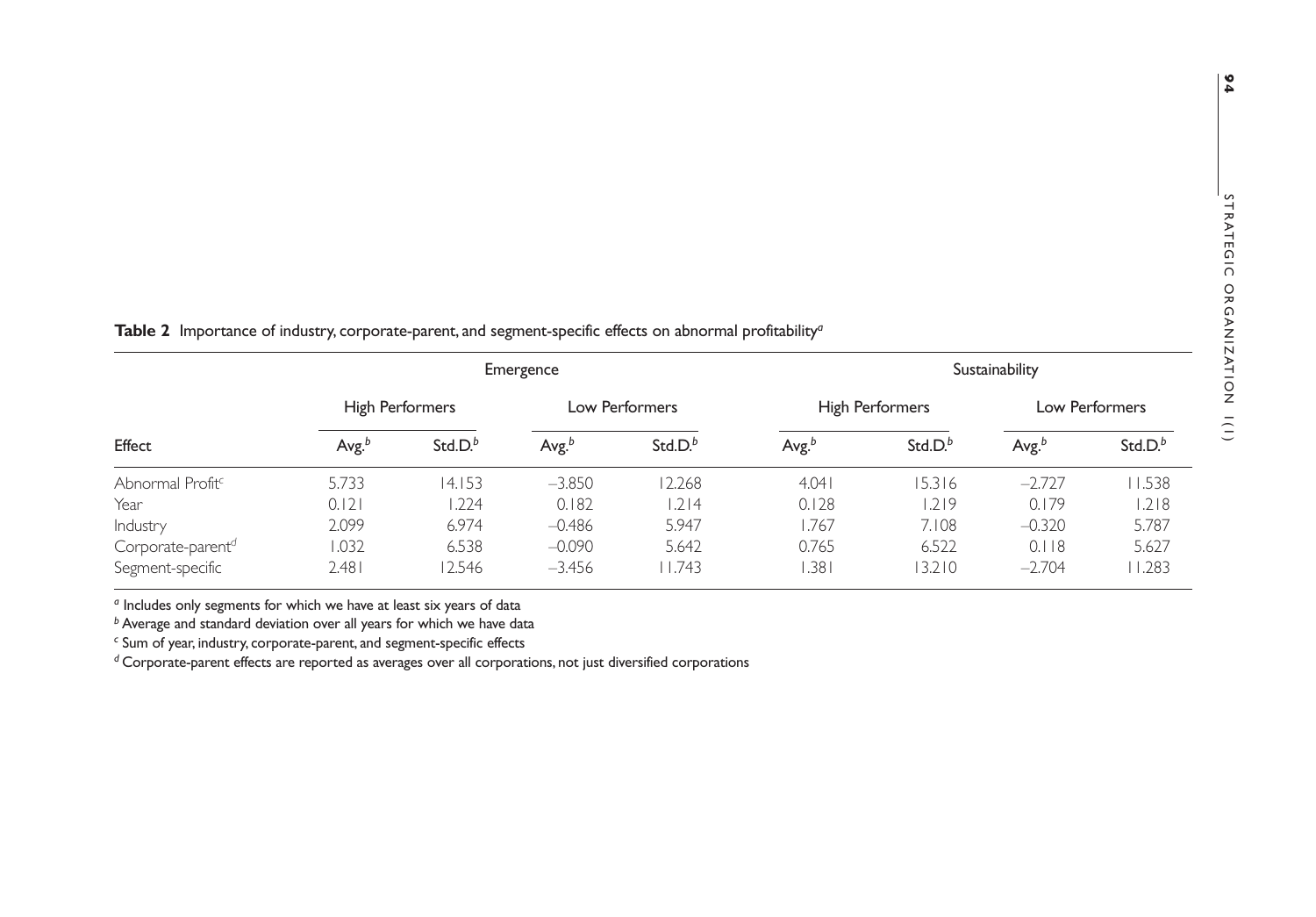|                               |                   |                     | Emergence   | Sustainability |                   |                        |                |            |  |
|-------------------------------|-------------------|---------------------|-------------|----------------|-------------------|------------------------|----------------|------------|--|
|                               | High Performers   |                     |             | Low Performers |                   | <b>High Performers</b> | Low Performers |            |  |
| Effect                        | Avg. <sup>b</sup> | Std.D. <sup>b</sup> | Avg. $^{b}$ | Std.D. $^{b}$  | Avg. <sup>b</sup> | Std.D. $^{b}$          | Avg. $^{b}$    | Std.D. $b$ |  |
| Abnormal Profit <sup>c</sup>  | 5.733             | 14.153              | $-3.850$    | 2.268          | 4.041             | 15.316                 | $-2.727$       | 11.538     |  |
| Year                          | 0.121             | 1.224               | 0.182       | 1.214          | 0.128             | 1.219                  | 0.179          | 1.218      |  |
| Industry                      | 2.099             | 6.974               | $-0.486$    | 5.947          | 1.767             | 7.108                  | $-0.320$       | 5.787      |  |
| Corporate-parent <sup>d</sup> | 1.032             | 6.538               | $-0.090$    | 5.642          | 0.765             | 6.522                  | 0.118          | 5.627      |  |
| Segment-specific              | 2.481             | 12.546              | $-3.456$    | 1.743          | .381              | 13.210                 | $-2.704$       | 11.283     |  |

*a* Includes only segments for which we have at least six years of data

*b* Average and standard deviation over all years for which we have data

*c* Sum of year, industry, corporate-parent, and segment-specific effects

*d* Corporate-parent effects are reported as averages over all corporations, not just diversified corporations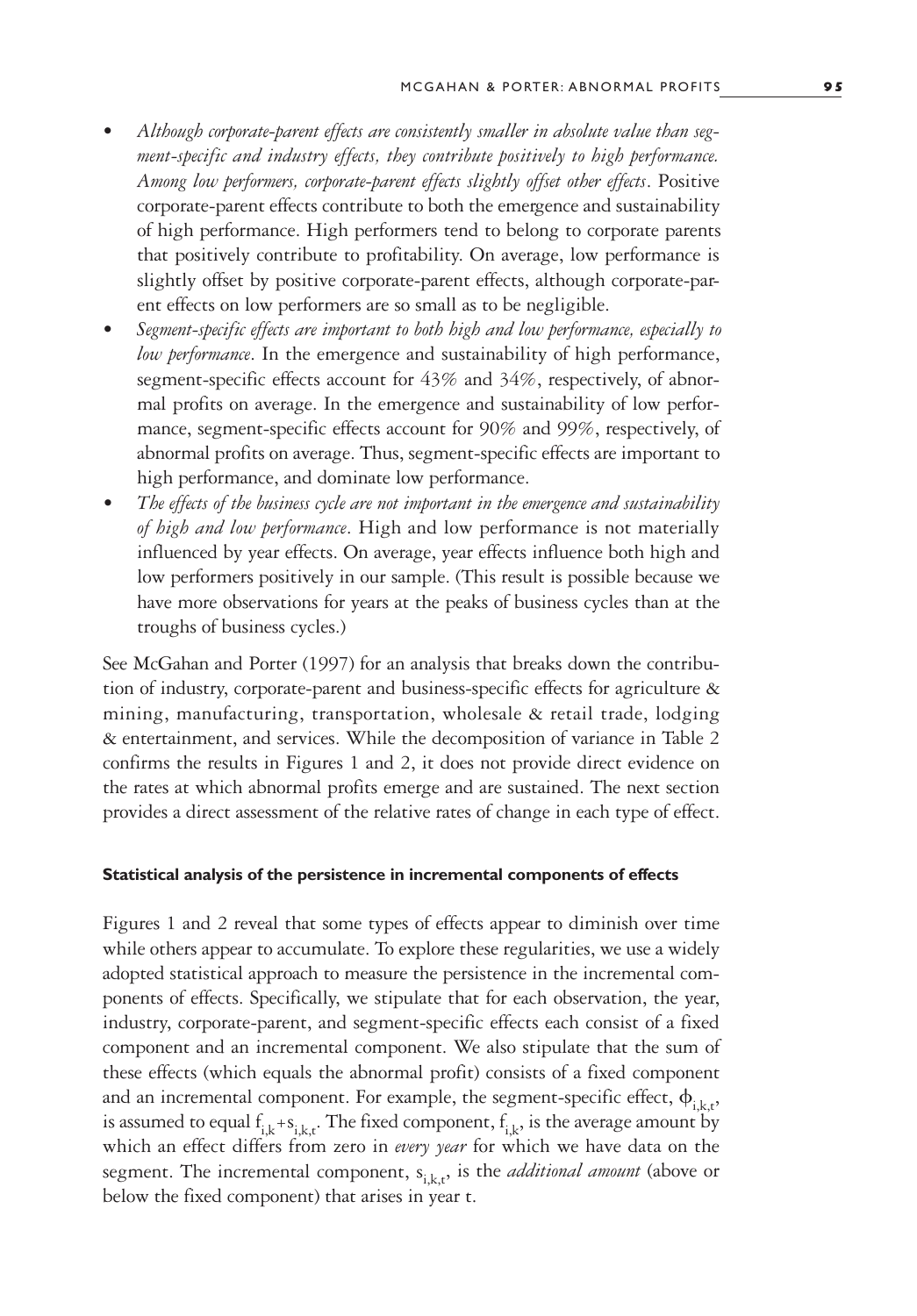- *• Although corporate-parent effects are consistently smaller in absolute value than segment-specific and industry effects, they contribute positively to high performance. Among low performers, corporate-parent effects slightly offset other effects*. Positive corporate-parent effects contribute to both the emergence and sustainability of high performance. High performers tend to belong to corporate parents that positively contribute to profitability. On average, low performance is slightly offset by positive corporate-parent effects, although corporate-parent effects on low performers are so small as to be negligible.
- *• Segment-specific effects are important to both high and low performance, especially to low performance*. In the emergence and sustainability of high performance, segment-specific effects account for 43% and 34%, respectively, of abnormal profits on average. In the emergence and sustainability of low performance, segment-specific effects account for 90% and 99%, respectively, of abnormal profits on average. Thus, segment-specific effects are important to high performance, and dominate low performance.
- *• The effects of the business cycle are not important in the emergence and sustainability of high and low performance*. High and low performance is not materially influenced by year effects. On average, year effects influence both high and low performers positively in our sample. (This result is possible because we have more observations for years at the peaks of business cycles than at the troughs of business cycles.)

See McGahan and Porter (1997) for an analysis that breaks down the contribution of industry, corporate-parent and business-specific effects for agriculture & mining, manufacturing, transportation, wholesale & retail trade, lodging & entertainment, and services. While the decomposition of variance in Table 2 confirms the results in Figures 1 and 2, it does not provide direct evidence on the rates at which abnormal profits emerge and are sustained. The next section provides a direct assessment of the relative rates of change in each type of effect.

#### **Statistical analysis of the persistence in incremental components of effects**

Figures 1 and 2 reveal that some types of effects appear to diminish over time while others appear to accumulate. To explore these regularities, we use a widely adopted statistical approach to measure the persistence in the incremental components of effects. Specifically, we stipulate that for each observation, the year, industry, corporate-parent, and segment-specific effects each consist of a fixed component and an incremental component. We also stipulate that the sum of these effects (which equals the abnormal profit) consists of a fixed component and an incremental component. For example, the segment-specific effect,  $\phi_{i,k,t}$ , is assumed to equal  $f_{i,k} + s_{i,k,t}$ . The fixed component,  $f_{i,k}$ , is the average amount by which an effect differs from zero in *every year* for which we have data on the segment. The incremental component,  $s_{i,k,t}$ , is the *additional amount* (above or below the fixed component) that arises in year t.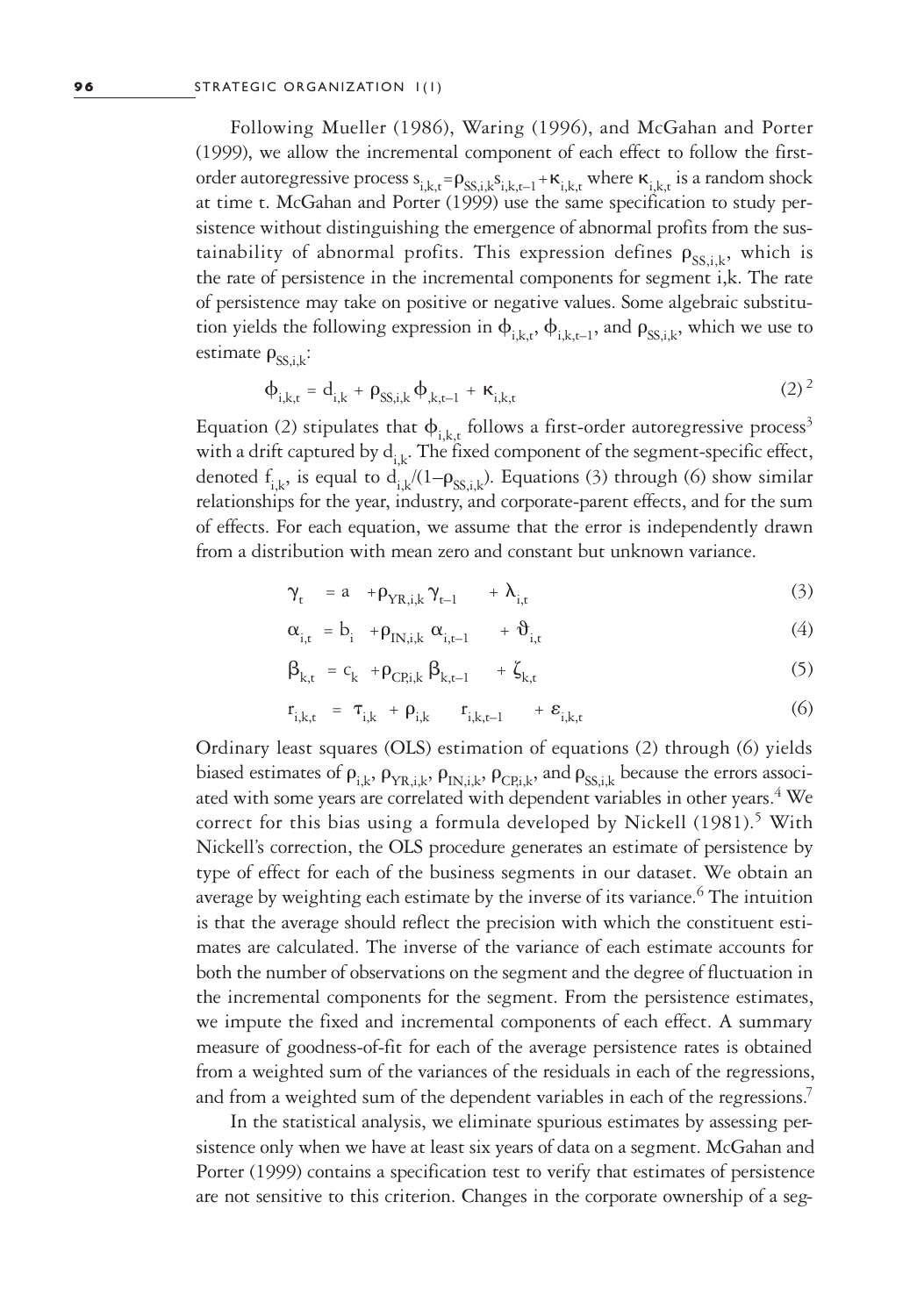Following Mueller (1986), Waring (1996), and McGahan and Porter (1999), we allow the incremental component of each effect to follow the firstorder autoregressive process  $s_{i,k,t} = \rho_{SS,i,k} s_{i,k,t-1} + \kappa_{i,k,t}$  where  $\kappa_{i,k,t}$  is a random shock at time t. McGahan and Porter (1999) use the same specification to study persistence without distinguishing the emergence of abnormal profits from the sustainability of abnormal profits. This expression defines  $\rho_{ss,i,k}$ , which is the rate of persistence in the incremental components for segment i,k. The rate of persistence may take on positive or negative values. Some algebraic substitution yields the following expression in  $\phi_{i,k,t}$ ,  $\phi_{i,k,t-1}$ , and  $\rho_{\text{SS},i,k}$ , which we use to estimate  $\rho_{SS,ik}$ :

$$
\Phi_{i,k,t} = d_{i,k} + \rho_{SS,i,k} \Phi_{k,t-1} + \kappa_{i,k,t}
$$
\n(2)<sup>2</sup>

Equation (2) stipulates that  $\phi_{i,k,t}$  follows a first-order autoregressive process<sup>3</sup> with a drift captured by  $d_{ik}$ . The fixed component of the segment-specific effect, denoted  $f_{i,k}$ , is equal to  $d_{i,k}$ /(1– $\rho_{SS,i,k}$ ). Equations (3) through (6) show similar relationships for the year, industry, and corporate-parent effects, and for the sum of effects. For each equation, we assume that the error is independently drawn from a distribution with mean zero and constant but unknown variance.

$$
\gamma_{t} = a + \rho_{YR,i,k} \gamma_{t-1} + \lambda_{i,t} \tag{3}
$$

$$
\alpha_{i,t} = b_i + \rho_{IN,i,k} \alpha_{i,t-1} + \vartheta_{i,t} \tag{4}
$$

$$
\beta_{k,t} = c_k + \rho_{CP,i,k} \beta_{k,t-1} + \zeta_{k,t}
$$
\n(5)

$$
\mathbf{r}_{i,k,t} = \mathbf{\tau}_{i,k} + \mathbf{\rho}_{i,k} \qquad \mathbf{r}_{i,k,t-1} \qquad + \mathbf{\varepsilon}_{i,k,t} \tag{6}
$$

Ordinary least squares (OLS) estimation of equations (2) through (6) yields biased estimates of  $\rho_{i,k}$ ,  $\rho_{YR,i,k}$ ,  $\rho_{IN,i,k}$ ,  $\rho_{CP,i,k}$ , and  $\rho_{SS,i,k}$  because the errors associated with some years are correlated with dependent variables in other years.<sup>4</sup> We correct for this bias using a formula developed by Nickell (1981).<sup>5</sup> With Nickell's correction, the OLS procedure generates an estimate of persistence by type of effect for each of the business segments in our dataset. We obtain an average by weighting each estimate by the inverse of its variance.<sup>6</sup> The intuition is that the average should reflect the precision with which the constituent estimates are calculated. The inverse of the variance of each estimate accounts for both the number of observations on the segment and the degree of fluctuation in the incremental components for the segment. From the persistence estimates, we impute the fixed and incremental components of each effect. A summary measure of goodness-of-fit for each of the average persistence rates is obtained from a weighted sum of the variances of the residuals in each of the regressions, and from a weighted sum of the dependent variables in each of the regressions.<sup>7</sup>

In the statistical analysis, we eliminate spurious estimates by assessing persistence only when we have at least six years of data on a segment. McGahan and Porter (1999) contains a specification test to verify that estimates of persistence are not sensitive to this criterion. Changes in the corporate ownership of a seg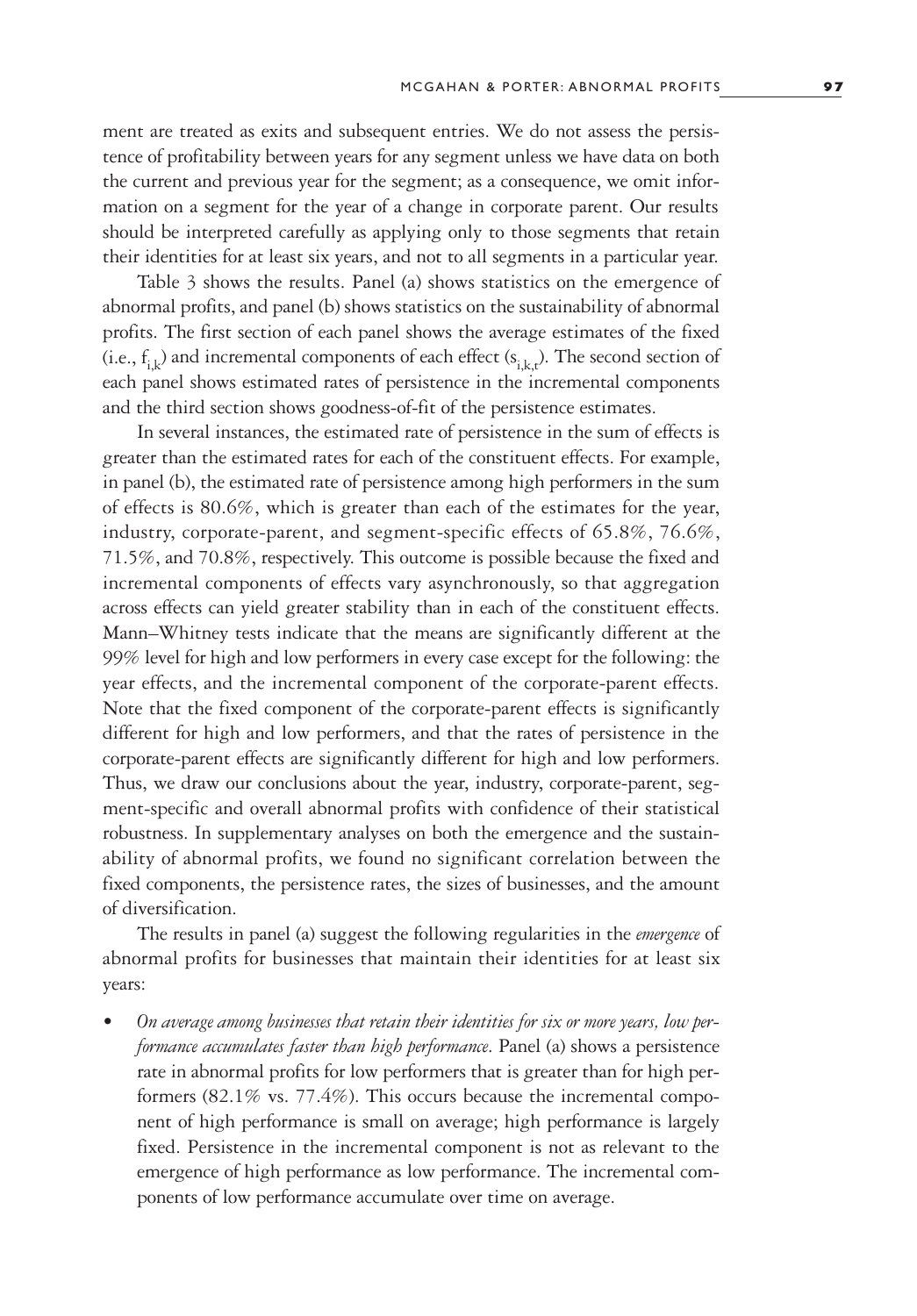ment are treated as exits and subsequent entries. We do not assess the persistence of profitability between years for any segment unless we have data on both the current and previous year for the segment; as a consequence, we omit information on a segment for the year of a change in corporate parent. Our results should be interpreted carefully as applying only to those segments that retain their identities for at least six years, and not to all segments in a particular year.

Table 3 shows the results. Panel (a) shows statistics on the emergence of abnormal profits, and panel (b) shows statistics on the sustainability of abnormal profits. The first section of each panel shows the average estimates of the fixed (i.e.,  $f_{i,k}$ ) and incremental components of each effect ( $s_{i,k,t}$ ). The second section of each panel shows estimated rates of persistence in the incremental components and the third section shows goodness-of-fit of the persistence estimates.

In several instances, the estimated rate of persistence in the sum of effects is greater than the estimated rates for each of the constituent effects. For example, in panel (b), the estimated rate of persistence among high performers in the sum of effects is 80.6%, which is greater than each of the estimates for the year, industry, corporate-parent, and segment-specific effects of 65.8%, 76.6%, 71.5%, and 70.8%, respectively. This outcome is possible because the fixed and incremental components of effects vary asynchronously, so that aggregation across effects can yield greater stability than in each of the constituent effects. Mann–Whitney tests indicate that the means are significantly different at the 99% level for high and low performers in every case except for the following: the year effects, and the incremental component of the corporate-parent effects. Note that the fixed component of the corporate-parent effects is significantly different for high and low performers, and that the rates of persistence in the corporate-parent effects are significantly different for high and low performers. Thus, we draw our conclusions about the year, industry, corporate-parent, segment-specific and overall abnormal profits with confidence of their statistical robustness. In supplementary analyses on both the emergence and the sustainability of abnormal profits, we found no significant correlation between the fixed components, the persistence rates, the sizes of businesses, and the amount of diversification.

The results in panel (a) suggest the following regularities in the *emergence* of abnormal profits for businesses that maintain their identities for at least six years:

*• On average among businesses that retain their identities for six or more years, low performance accumulates faster than high performance*. Panel (a) shows a persistence rate in abnormal profits for low performers that is greater than for high performers (82.1% vs. 77.4%). This occurs because the incremental component of high performance is small on average; high performance is largely fixed. Persistence in the incremental component is not as relevant to the emergence of high performance as low performance. The incremental components of low performance accumulate over time on average.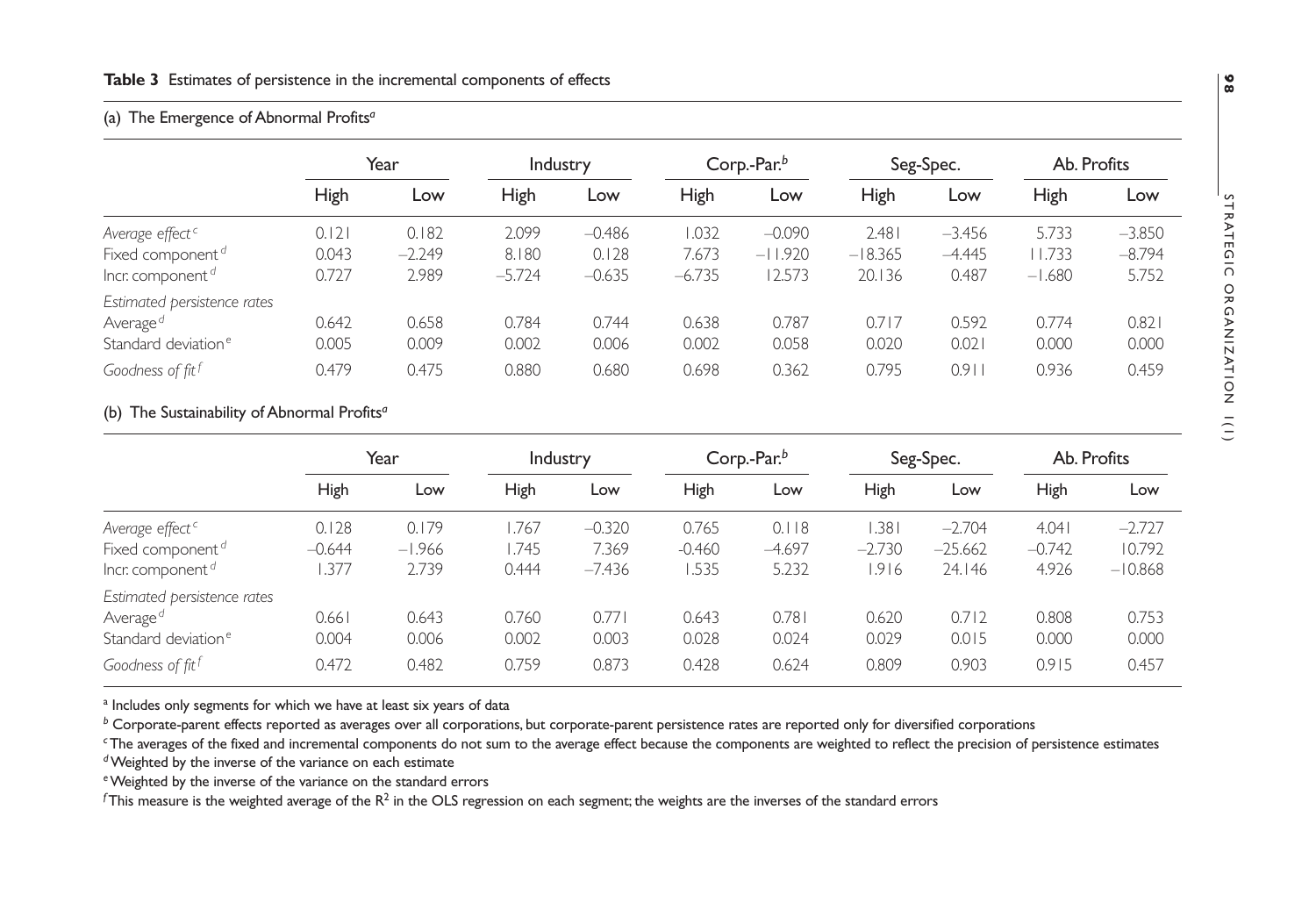#### **Table 3** Estimates of persistence in the incremental components of effects

## (a) The Emergence of Abnormal Profits*<sup>a</sup>*

|                                                                                                                        | Year                    |                            | Industry                   |                               | Corp.-Par.b                |                                 | Seg-Spec.                    |                               | Ab. Profits                |                               |
|------------------------------------------------------------------------------------------------------------------------|-------------------------|----------------------------|----------------------------|-------------------------------|----------------------------|---------------------------------|------------------------------|-------------------------------|----------------------------|-------------------------------|
|                                                                                                                        | High                    | Low                        | High                       | Low                           | <b>High</b>                | Low                             | High                         | Low                           | High                       | Low                           |
| Average effect <sup>c</sup><br>Fixed component <sup>d</sup><br>Incr. component $\sigma$                                | 0.121<br>0.043<br>0.727 | 0.182<br>$-2.249$<br>2.989 | 2.099<br>8.180<br>$-5.724$ | $-0.486$<br>0.128<br>$-0.635$ | 1.032<br>7.673<br>$-6.735$ | $-0.090$<br>$-11.920$<br>12.573 | 2.481<br>$-18.365$<br>20.136 | $-3.456$<br>$-4.445$<br>0.487 | 5.733<br>1.733<br>$-1.680$ | $-3.850$<br>$-8.794$<br>5.752 |
| Estimated persistence rates<br>Average <sup>d</sup><br>Standard deviation <sup>e</sup><br>Goodness of fit <sup>f</sup> | 0.642<br>0.005<br>0.479 | 0.658<br>0.009<br>0.475    | 0.784<br>0.002<br>0.880    | 0.744<br>0.006<br>0.680       | 0.638<br>0.002<br>0.698    | 0.787<br>0.058<br>0.362         | 0.717<br>0.020<br>0.795      | 0.592<br>0.021<br>0.91        | 0.774<br>0.000<br>0.936    | 0.821<br>0.000<br>0.459       |

# (b) The Sustainability of Abnormal Profits*<sup>a</sup>*

|                                 | Year     |          | <b>Industry</b> |          | Corp.- $Parb$ |          | Seg-Spec. |           | Ab. Profits |           |
|---------------------------------|----------|----------|-----------------|----------|---------------|----------|-----------|-----------|-------------|-----------|
|                                 | High     | Low      | High            | Low      | <b>High</b>   | Low      | High      | Low       | <b>High</b> | Low       |
| Average effect <sup>c</sup>     | 0.128    | 0.179    | 1.767           | $-0.320$ | 0.765         | 0.118    | .381      | $-2.704$  | 4.041       | $-2.727$  |
| Fixed component <sup>d</sup>    | $-0.644$ | $-1.966$ | 1.745           | 7.369    | $-0.460$      | $-4.697$ | $-2.730$  | $-25.662$ | $-0.742$    | 10.792    |
| Incr. component <sup>d</sup>    | .377     | 2.739    | 0.444           | $-7.436$ | 1.535         | 5.232    | .916      | 24.146    | 4.926       | $-10.868$ |
| Estimated persistence rates     |          |          |                 |          |               |          |           |           |             |           |
| Average <sup>d</sup>            | 0.661    | 0.643    | 0.760           | 0.771    | 0.643         | 0.781    | 0.620     | 0.712     | 0.808       | 0.753     |
| Standard deviation <sup>e</sup> | 0.004    | 0.006    | 0.002           | 0.003    | 0.028         | 0.024    | 0.029     | 0.015     | 0.000       | 0.000     |
| Goodness of fit <sup>f</sup>    | 0.472    | 0.482    | 0.759           | 0.873    | 0.428         | 0.624    | 0.809     | 0.903     | 0.915       | 0.457     |

<sup>a</sup> Includes only segments for which we have at least six years of data

*b* Corporate-parent effects reported as averages over all corporations, but corporate-parent persistence rates are reported only for diversified corporations

*<sup>c</sup>*The averages of the fixed and incremental components do not sum to the average effect because the components are weighted to reflect the precision of persistence estimates

*<sup>d</sup>*Weighted by the inverse of the variance on each estimate

*<sup>e</sup>*Weighted by the inverse of the variance on the standard errors

 $f$ This measure is the weighted average of the  $R^2$  in the OLS regression on each segment; the weights are the inverses of the standard errors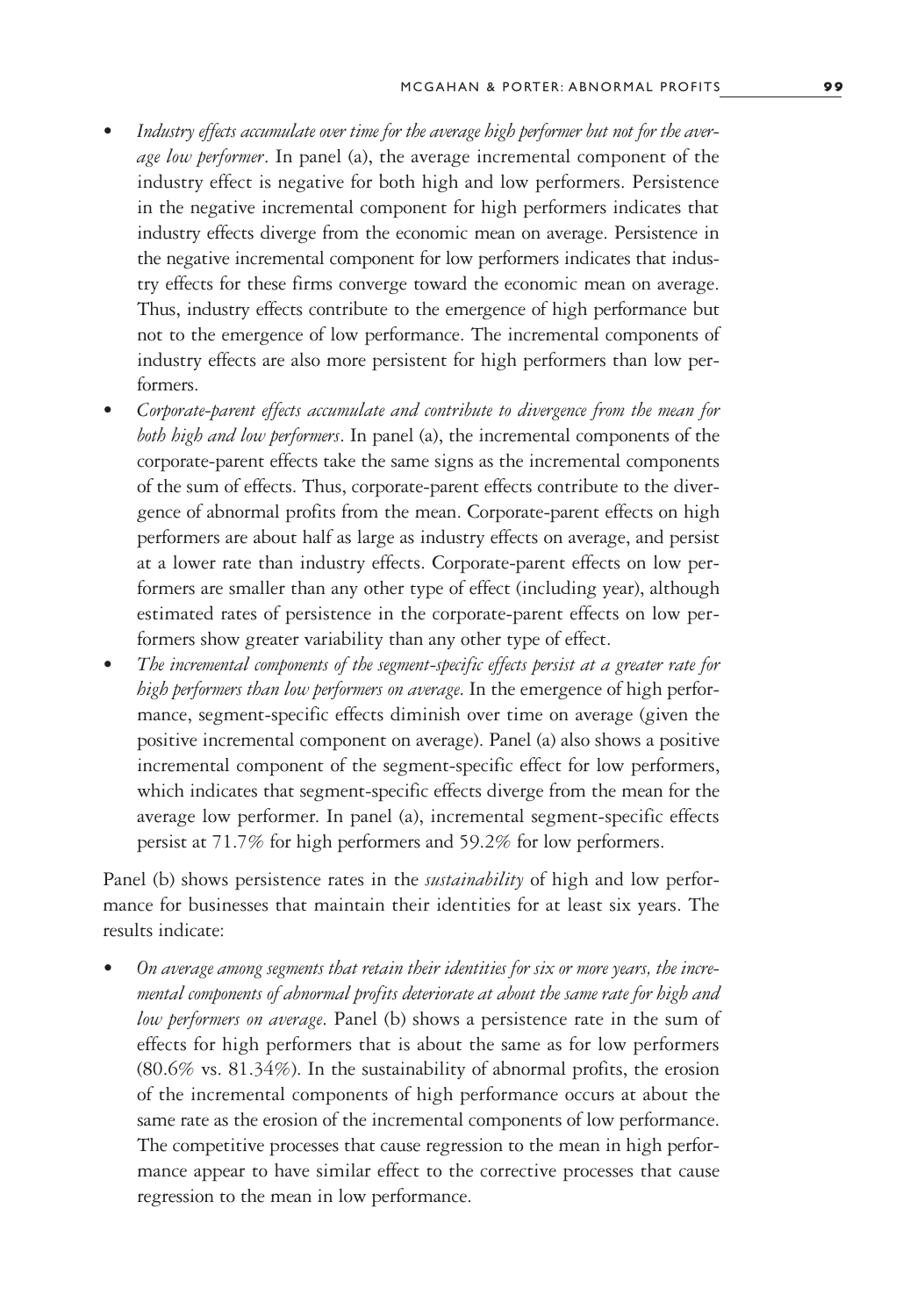- *• Industry effects accumulate over time for the average high performer but not for the average low performer*. In panel (a), the average incremental component of the industry effect is negative for both high and low performers. Persistence in the negative incremental component for high performers indicates that industry effects diverge from the economic mean on average. Persistence in the negative incremental component for low performers indicates that industry effects for these firms converge toward the economic mean on average. Thus, industry effects contribute to the emergence of high performance but not to the emergence of low performance. The incremental components of industry effects are also more persistent for high performers than low performers.
- *• Corporate-parent effects accumulate and contribute to divergence from the mean for both high and low performers*. In panel (a), the incremental components of the corporate-parent effects take the same signs as the incremental components of the sum of effects. Thus, corporate-parent effects contribute to the divergence of abnormal profits from the mean. Corporate-parent effects on high performers are about half as large as industry effects on average, and persist at a lower rate than industry effects. Corporate-parent effects on low performers are smaller than any other type of effect (including year), although estimated rates of persistence in the corporate-parent effects on low performers show greater variability than any other type of effect.
- *• The incremental components of the segment-specific effects persist at a greater rate for high performers than low performers on average*. In the emergence of high performance, segment-specific effects diminish over time on average (given the positive incremental component on average). Panel (a) also shows a positive incremental component of the segment-specific effect for low performers, which indicates that segment-specific effects diverge from the mean for the average low performer. In panel (a), incremental segment-specific effects persist at 71.7% for high performers and 59.2% for low performers.

Panel (b) shows persistence rates in the *sustainability* of high and low performance for businesses that maintain their identities for at least six years. The results indicate:

*• On average among segments that retain their identities for six or more years, the incremental components of abnormal profits deteriorate at about the same rate for high and low performers on average*. Panel (b) shows a persistence rate in the sum of effects for high performers that is about the same as for low performers (80.6% vs. 81.34%). In the sustainability of abnormal profits, the erosion of the incremental components of high performance occurs at about the same rate as the erosion of the incremental components of low performance. The competitive processes that cause regression to the mean in high performance appear to have similar effect to the corrective processes that cause regression to the mean in low performance.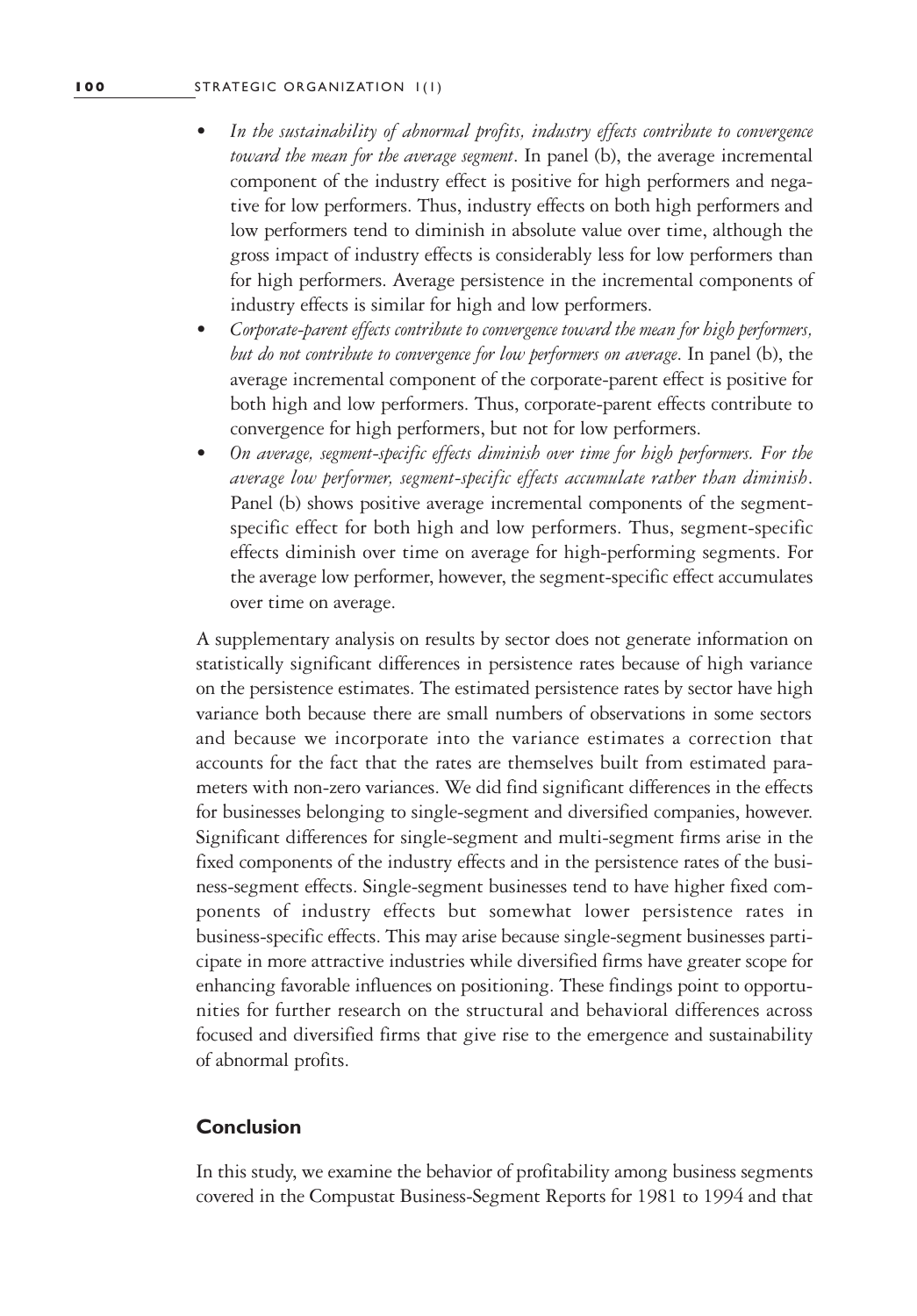- *• In the sustainability of abnormal profits, industry effects contribute to convergence toward the mean for the average segment*. In panel (b), the average incremental component of the industry effect is positive for high performers and negative for low performers. Thus, industry effects on both high performers and low performers tend to diminish in absolute value over time, although the gross impact of industry effects is considerably less for low performers than for high performers. Average persistence in the incremental components of industry effects is similar for high and low performers.
- *• Corporate-parent effects contribute to convergence toward the mean for high performers, but do not contribute to convergence for low performers on average*. In panel (b), the average incremental component of the corporate-parent effect is positive for both high and low performers. Thus, corporate-parent effects contribute to convergence for high performers, but not for low performers.
- *• On average, segment-specific effects diminish over time for high performers. For the average low performer, segment-specific effects accumulate rather than diminish*. Panel (b) shows positive average incremental components of the segmentspecific effect for both high and low performers. Thus, segment-specific effects diminish over time on average for high-performing segments. For the average low performer, however, the segment-specific effect accumulates over time on average.

A supplementary analysis on results by sector does not generate information on statistically significant differences in persistence rates because of high variance on the persistence estimates. The estimated persistence rates by sector have high variance both because there are small numbers of observations in some sectors and because we incorporate into the variance estimates a correction that accounts for the fact that the rates are themselves built from estimated parameters with non-zero variances. We did find significant differences in the effects for businesses belonging to single-segment and diversified companies, however. Significant differences for single-segment and multi-segment firms arise in the fixed components of the industry effects and in the persistence rates of the business-segment effects. Single-segment businesses tend to have higher fixed components of industry effects but somewhat lower persistence rates in business-specific effects. This may arise because single-segment businesses participate in more attractive industries while diversified firms have greater scope for enhancing favorable influences on positioning. These findings point to opportunities for further research on the structural and behavioral differences across focused and diversified firms that give rise to the emergence and sustainability of abnormal profits.

# **Conclusion**

In this study, we examine the behavior of profitability among business segments covered in the Compustat Business-Segment Reports for 1981 to 1994 and that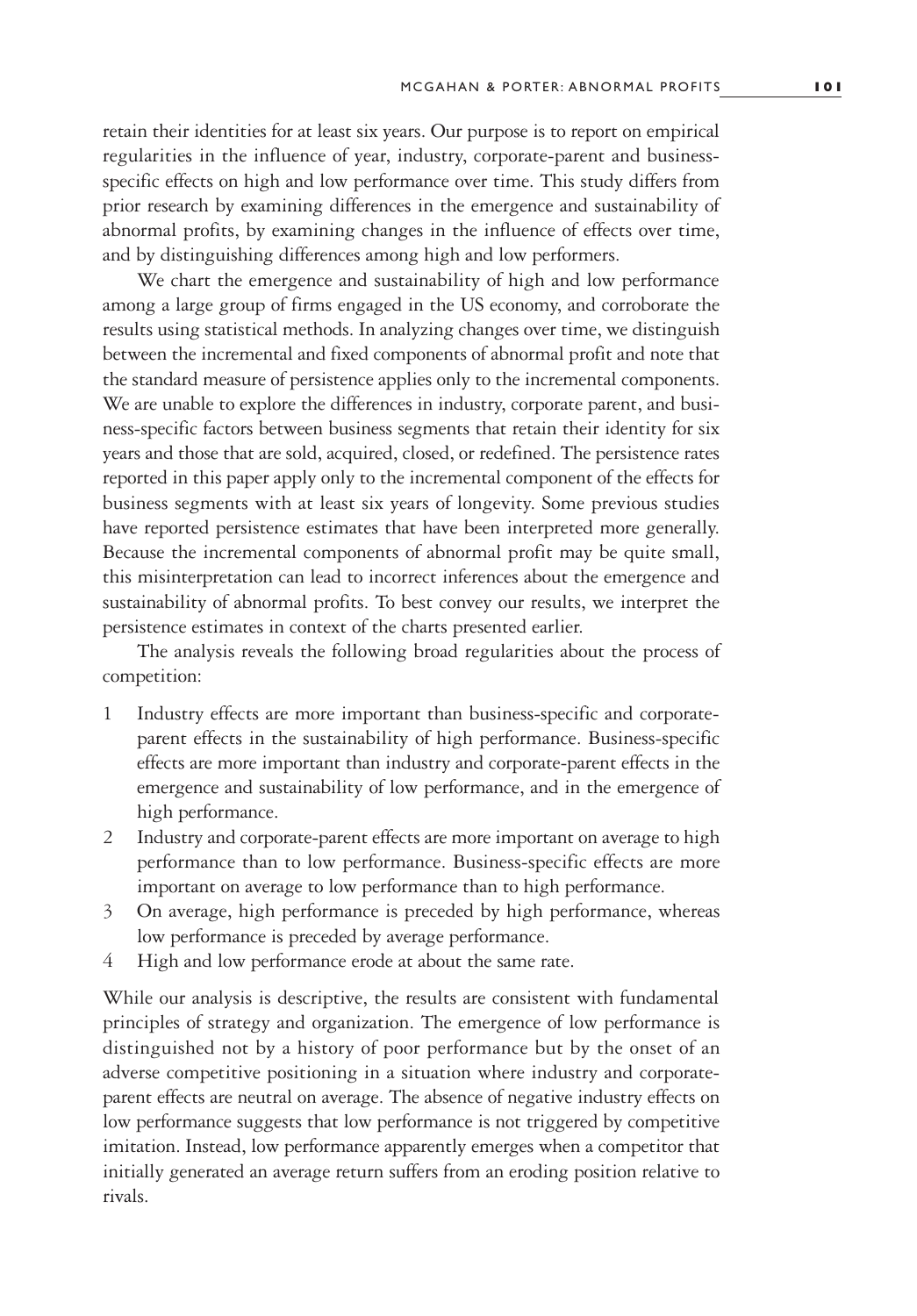retain their identities for at least six years. Our purpose is to report on empirical regularities in the influence of year, industry, corporate-parent and businessspecific effects on high and low performance over time. This study differs from prior research by examining differences in the emergence and sustainability of abnormal profits, by examining changes in the influence of effects over time, and by distinguishing differences among high and low performers.

We chart the emergence and sustainability of high and low performance among a large group of firms engaged in the US economy, and corroborate the results using statistical methods. In analyzing changes over time, we distinguish between the incremental and fixed components of abnormal profit and note that the standard measure of persistence applies only to the incremental components. We are unable to explore the differences in industry, corporate parent, and business-specific factors between business segments that retain their identity for six years and those that are sold, acquired, closed, or redefined. The persistence rates reported in this paper apply only to the incremental component of the effects for business segments with at least six years of longevity. Some previous studies have reported persistence estimates that have been interpreted more generally. Because the incremental components of abnormal profit may be quite small, this misinterpretation can lead to incorrect inferences about the emergence and sustainability of abnormal profits. To best convey our results, we interpret the persistence estimates in context of the charts presented earlier.

The analysis reveals the following broad regularities about the process of competition:

- 1 Industry effects are more important than business-specific and corporateparent effects in the sustainability of high performance. Business-specific effects are more important than industry and corporate-parent effects in the emergence and sustainability of low performance, and in the emergence of high performance.
- 2 Industry and corporate-parent effects are more important on average to high performance than to low performance. Business-specific effects are more important on average to low performance than to high performance.
- 3 On average, high performance is preceded by high performance, whereas low performance is preceded by average performance.
- 4 High and low performance erode at about the same rate.

While our analysis is descriptive, the results are consistent with fundamental principles of strategy and organization. The emergence of low performance is distinguished not by a history of poor performance but by the onset of an adverse competitive positioning in a situation where industry and corporateparent effects are neutral on average. The absence of negative industry effects on low performance suggests that low performance is not triggered by competitive imitation. Instead, low performance apparently emerges when a competitor that initially generated an average return suffers from an eroding position relative to rivals.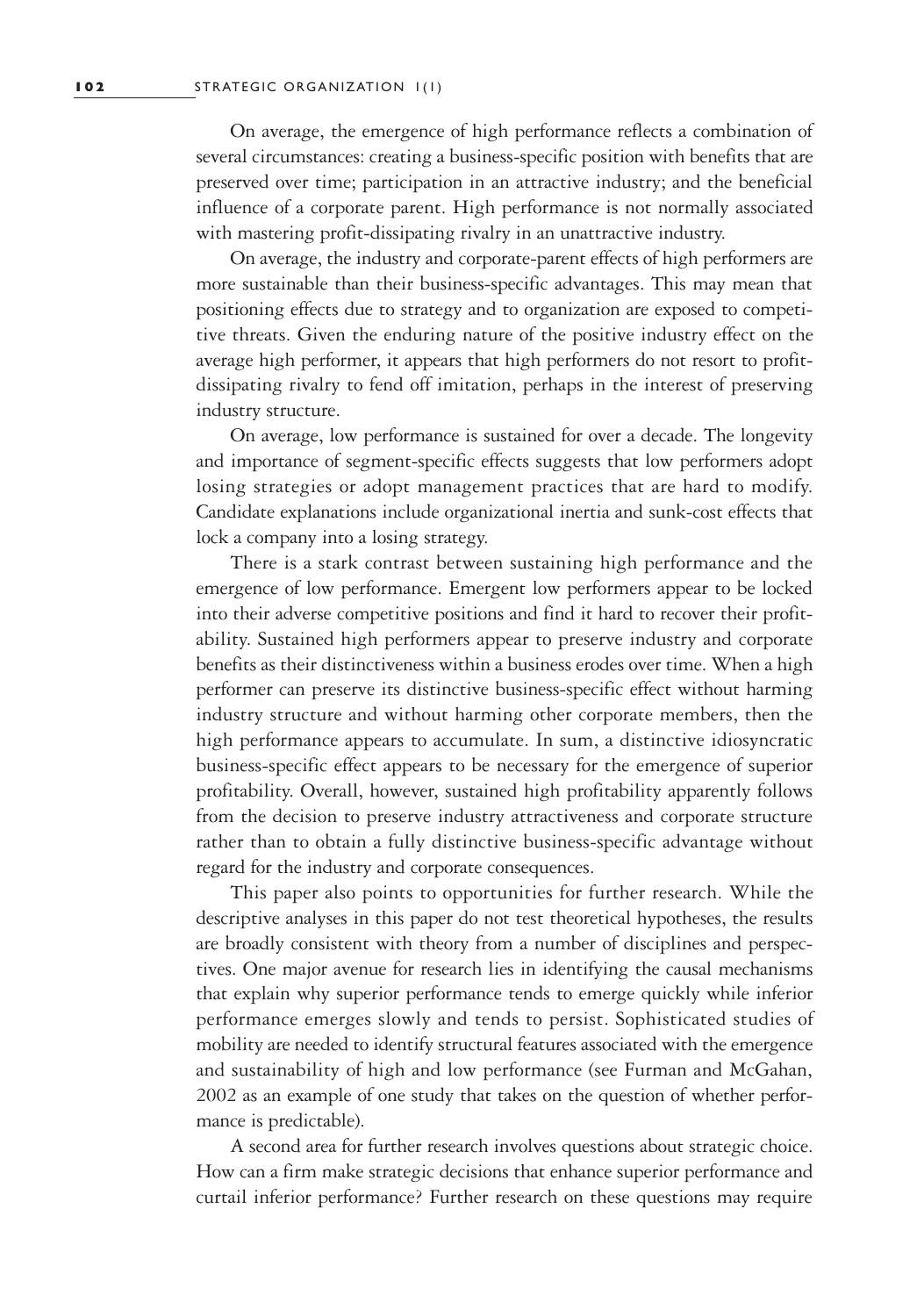On average, the emergence of high performance reflects a combination of several circumstances: creating a business-specific position with benefits that are preserved over time; participation in an attractive industry; and the beneficial influence of a corporate parent. High performance is not normally associated with mastering profit-dissipating rivalry in an unattractive industry.

On average, the industry and corporate-parent effects of high performers are more sustainable than their business-specific advantages. This may mean that positioning effects due to strategy and to organization are exposed to competitive threats. Given the enduring nature of the positive industry effect on the average high performer, it appears that high performers do not resort to profitdissipating rivalry to fend off imitation, perhaps in the interest of preserving industry structure.

On average, low performance is sustained for over a decade. The longevity and importance of segment-specific effects suggests that low performers adopt losing strategies or adopt management practices that are hard to modify. Candidate explanations include organizational inertia and sunk-cost effects that lock a company into a losing strategy.

There is a stark contrast between sustaining high performance and the emergence of low performance. Emergent low performers appear to be locked into their adverse competitive positions and find it hard to recover their profitability. Sustained high performers appear to preserve industry and corporate benefits as their distinctiveness within a business erodes over time. When a high performer can preserve its distinctive business-specific effect without harming industry structure and without harming other corporate members, then the high performance appears to accumulate. In sum, a distinctive idiosyncratic business-specific effect appears to be necessary for the emergence of superior profitability. Overall, however, sustained high profitability apparently follows from the decision to preserve industry attractiveness and corporate structure rather than to obtain a fully distinctive business-specific advantage without regard for the industry and corporate consequences.

This paper also points to opportunities for further research. While the descriptive analyses in this paper do not test theoretical hypotheses, the results are broadly consistent with theory from a number of disciplines and perspectives. One major avenue for research lies in identifying the causal mechanisms that explain why superior performance tends to emerge quickly while inferior performance emerges slowly and tends to persist. Sophisticated studies of mobility are needed to identify structural features associated with the emergence and sustainability of high and low performance (see Furman and McGahan, 2002 as an example of one study that takes on the question of whether performance is predictable).

A second area for further research involves questions about strategic choice. How can a firm make strategic decisions that enhance superior performance and curtail inferior performance? Further research on these questions may require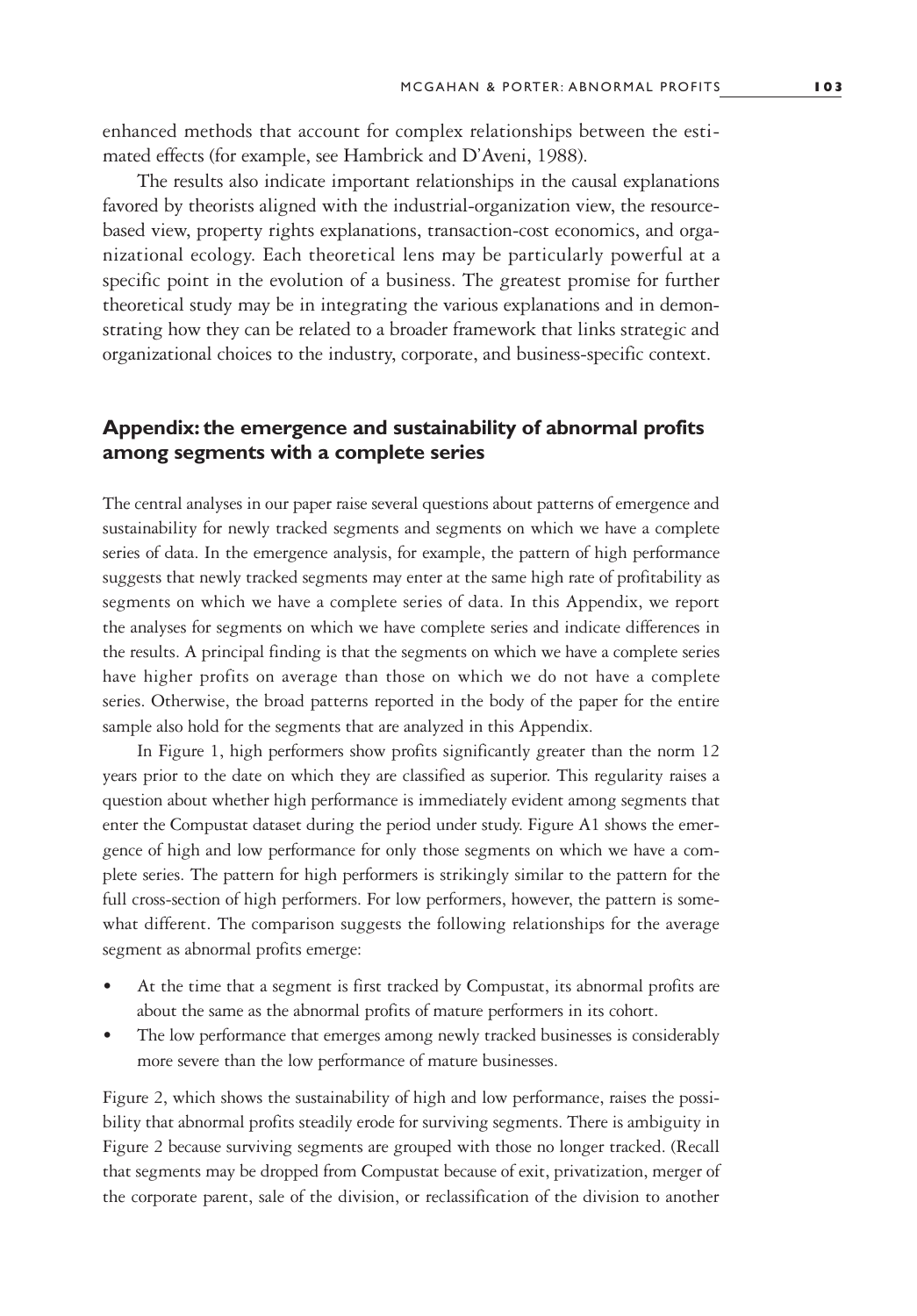enhanced methods that account for complex relationships between the estimated effects (for example, see Hambrick and D'Aveni, 1988).

The results also indicate important relationships in the causal explanations favored by theorists aligned with the industrial-organization view, the resourcebased view, property rights explanations, transaction-cost economics, and organizational ecology. Each theoretical lens may be particularly powerful at a specific point in the evolution of a business. The greatest promise for further theoretical study may be in integrating the various explanations and in demonstrating how they can be related to a broader framework that links strategic and organizational choices to the industry, corporate, and business-specific context.

# **Appendix: the emergence and sustainability of abnormal profits among segments with a complete series**

The central analyses in our paper raise several questions about patterns of emergence and sustainability for newly tracked segments and segments on which we have a complete series of data. In the emergence analysis, for example, the pattern of high performance suggests that newly tracked segments may enter at the same high rate of profitability as segments on which we have a complete series of data. In this Appendix, we report the analyses for segments on which we have complete series and indicate differences in the results. A principal finding is that the segments on which we have a complete series have higher profits on average than those on which we do not have a complete series. Otherwise, the broad patterns reported in the body of the paper for the entire sample also hold for the segments that are analyzed in this Appendix.

In Figure 1, high performers show profits significantly greater than the norm 12 years prior to the date on which they are classified as superior. This regularity raises a question about whether high performance is immediately evident among segments that enter the Compustat dataset during the period under study. Figure A1 shows the emergence of high and low performance for only those segments on which we have a complete series. The pattern for high performers is strikingly similar to the pattern for the full cross-section of high performers. For low performers, however, the pattern is somewhat different. The comparison suggests the following relationships for the average segment as abnormal profits emerge:

- At the time that a segment is first tracked by Compustat, its abnormal profits are about the same as the abnormal profits of mature performers in its cohort.
- The low performance that emerges among newly tracked businesses is considerably more severe than the low performance of mature businesses.

Figure 2, which shows the sustainability of high and low performance, raises the possibility that abnormal profits steadily erode for surviving segments. There is ambiguity in Figure 2 because surviving segments are grouped with those no longer tracked. (Recall that segments may be dropped from Compustat because of exit, privatization, merger of the corporate parent, sale of the division, or reclassification of the division to another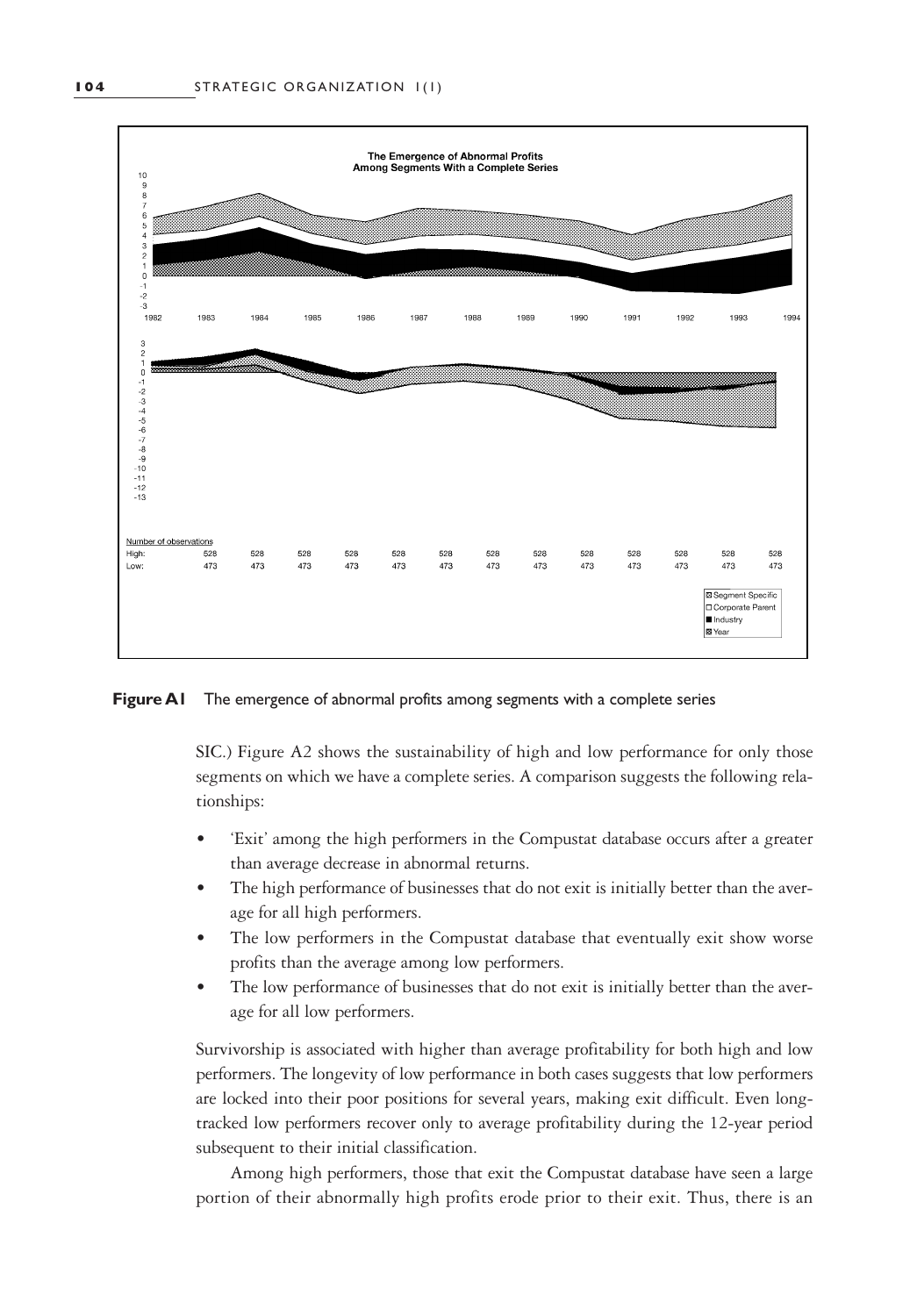

**Figure A1** The emergence of abnormal profits among segments with a complete series

SIC.) Figure A2 shows the sustainability of high and low performance for only those segments on which we have a complete series. A comparison suggests the following relationships:

- 'Exit' among the high performers in the Compustat database occurs after a greater than average decrease in abnormal returns.
- The high performance of businesses that do not exit is initially better than the average for all high performers.
- The low performers in the Compustat database that eventually exit show worse profits than the average among low performers.
- The low performance of businesses that do not exit is initially better than the average for all low performers.

Survivorship is associated with higher than average profitability for both high and low performers. The longevity of low performance in both cases suggests that low performers are locked into their poor positions for several years, making exit difficult. Even longtracked low performers recover only to average profitability during the 12-year period subsequent to their initial classification.

Among high performers, those that exit the Compustat database have seen a large portion of their abnormally high profits erode prior to their exit. Thus, there is an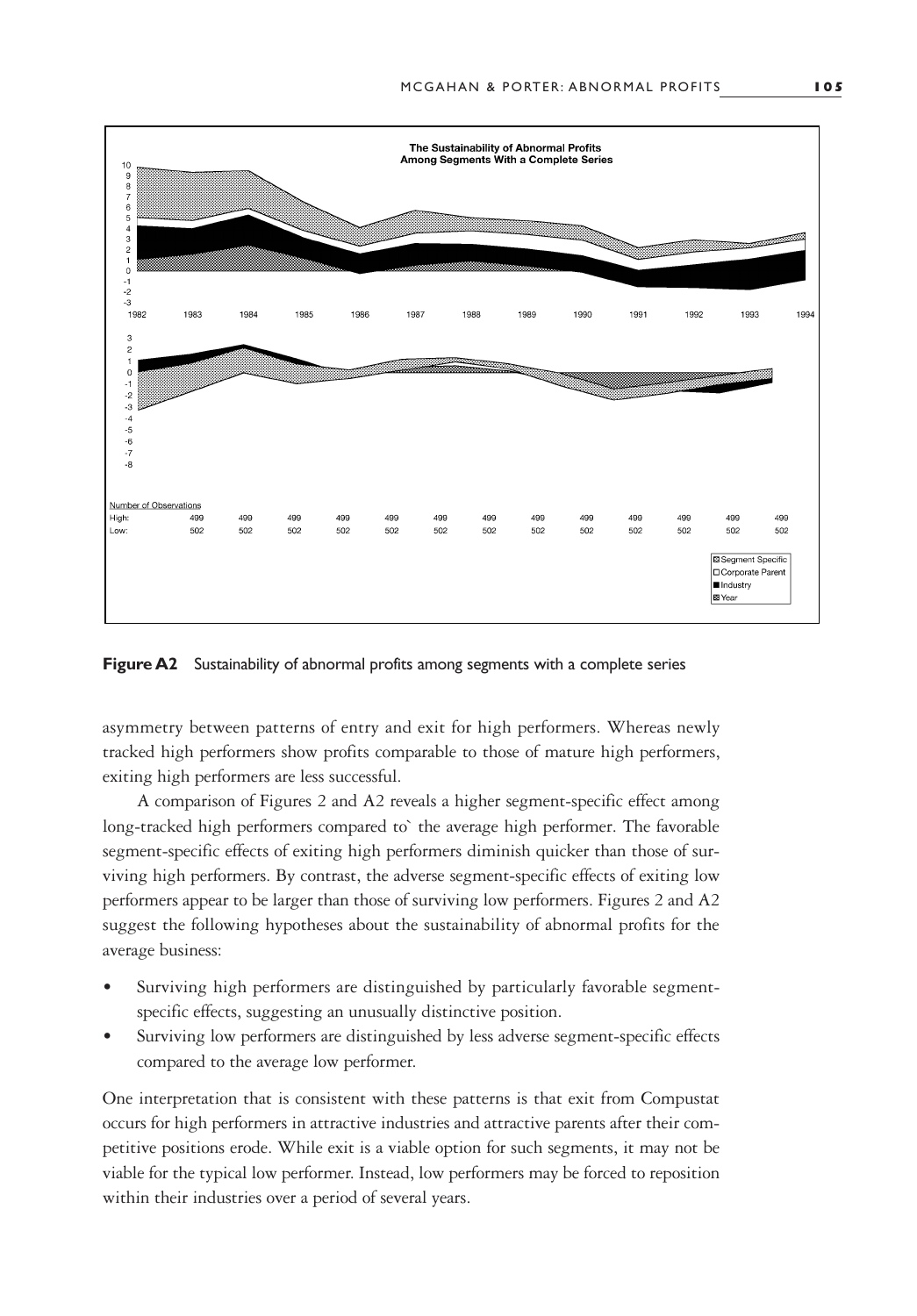

**Figure A2** Sustainability of abnormal profits among segments with a complete series

asymmetry between patterns of entry and exit for high performers. Whereas newly tracked high performers show profits comparable to those of mature high performers, exiting high performers are less successful.

A comparison of Figures 2 and A2 reveals a higher segment-specific effect among long-tracked high performers compared to` the average high performer. The favorable segment-specific effects of exiting high performers diminish quicker than those of surviving high performers. By contrast, the adverse segment-specific effects of exiting low performers appear to be larger than those of surviving low performers. Figures 2 and A2 suggest the following hypotheses about the sustainability of abnormal profits for the average business:

- Surviving high performers are distinguished by particularly favorable segmentspecific effects, suggesting an unusually distinctive position.
- Surviving low performers are distinguished by less adverse segment-specific effects compared to the average low performer.

One interpretation that is consistent with these patterns is that exit from Compustat occurs for high performers in attractive industries and attractive parents after their competitive positions erode. While exit is a viable option for such segments, it may not be viable for the typical low performer. Instead, low performers may be forced to reposition within their industries over a period of several years.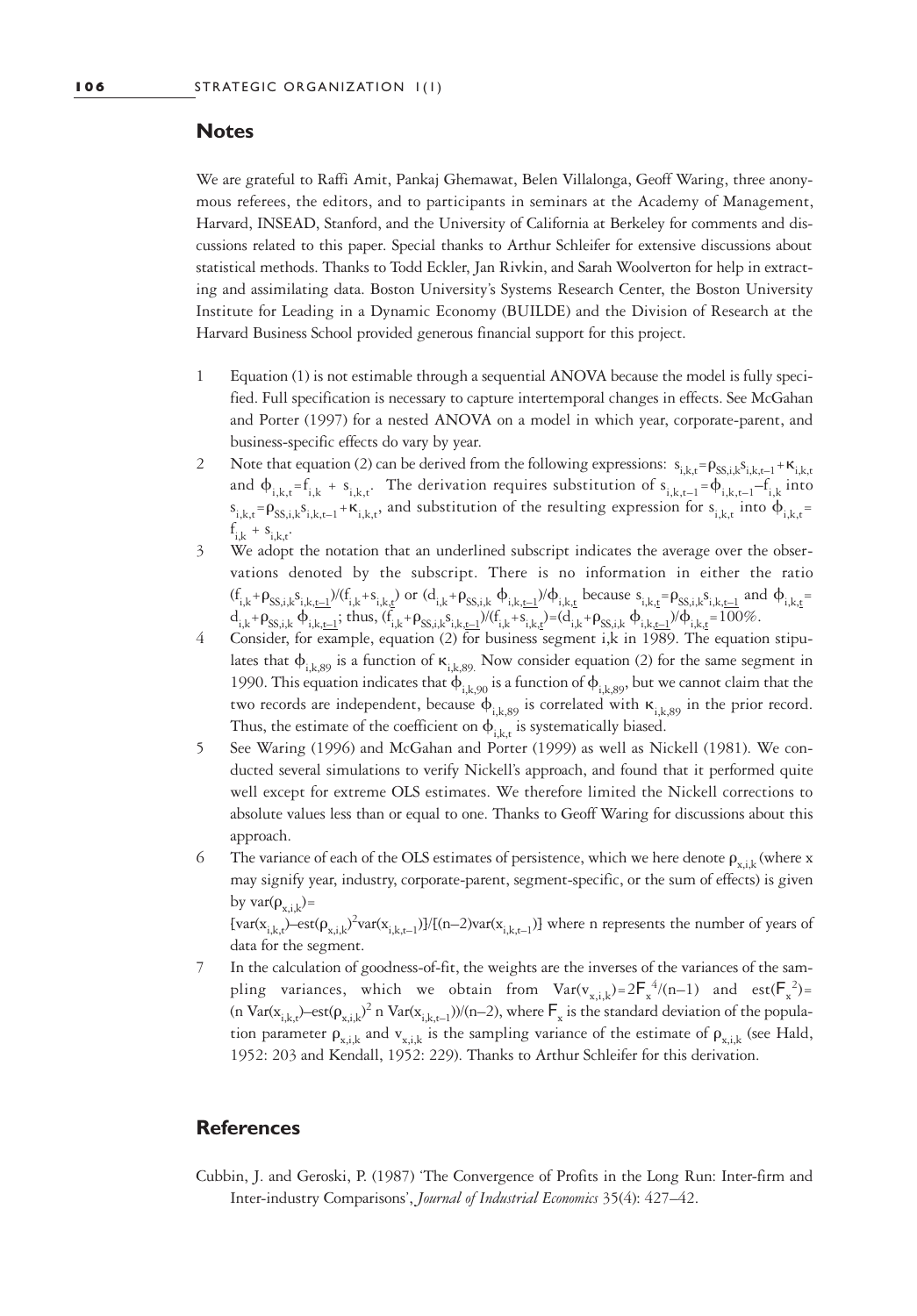# **Notes**

We are grateful to Raffi Amit, Pankaj Ghemawat, Belen Villalonga, Geoff Waring, three anonymous referees, the editors, and to participants in seminars at the Academy of Management, Harvard, INSEAD, Stanford, and the University of California at Berkeley for comments and discussions related to this paper. Special thanks to Arthur Schleifer for extensive discussions about statistical methods. Thanks to Todd Eckler, Jan Rivkin, and Sarah Woolverton for help in extracting and assimilating data. Boston University's Systems Research Center, the Boston University Institute for Leading in a Dynamic Economy (BUILDE) and the Division of Research at the Harvard Business School provided generous financial support for this project.

- 1 Equation (1) is not estimable through a sequential ANOVA because the model is fully specified. Full specification is necessary to capture intertemporal changes in effects. See McGahan and Porter (1997) for a nested ANOVA on a model in which year, corporate-parent, and business-specific effects do vary by year.
- 2 Note that equation (2) can be derived from the following expressions:  $s_{i,k,t} = \rho_{SS,i,k} s_{i,k,t-1} + \kappa_{i,k,t}$ and  $\phi_{i,k,t} = f_{i,k} + s_{i,k,t}$ . The derivation requires substitution of  $s_{i,k,t-1} = \phi_{i,k,t-1} - f_{i,k}$  into  $s_{i,k,t} = \rho_{SS,i,k}s_{i,k,t-1} + \kappa_{i,k,t}$ , and substitution of the resulting expression for  $s_{i,k,t}$  into  $\phi_{i,k,t}$  $f_{i,k}$  +  $s_{i,k,t}$ .
- 3 We adopt the notation that an underlined subscript indicates the average over the observations denoted by the subscript. There is no information in either the ratio  $(f_{i,k} + \rho_{SS,i,k} s_{i,k,\underline{t-1}})/(f_{i,k} + s_{i,k,\underline{t}})$  or  $(d_{i,k} + \rho_{SS,i,k} \phi_{i,k,\underline{t-1}})/\phi_{i,k,\underline{t}}$  because  $s_{i,k,\underline{t}} = \rho_{SS,i,k} s_{i,k,\underline{t-1}}$  and  $\phi_{i,k,\underline{t}} = \rho_{SS,i,k} s_{i,k,\underline{t-1}}$  $d_{i,k} + \rho_{SS,i,k} \, \varphi_{i,k,\underline{t-1}}$ ; thus,  $(f_{i,k} + \rho_{SS,i,k} s_{i,k,\underline{t-1}}) / (f_{i,k} + s_{i,k,\underline{t}}) = (d_{i,k} + \rho_{SS,i,k} \, \varphi_{i,k,\underline{t-1}}) / \varphi_{i,k,\underline{t}} = 100\%$ .
- 4 Consider, for example, equation (2) for business segment i,k in 1989. The equation stipulates that  $\phi_{i,k,89}$  is a function of  $\kappa_{i,k,89}$ . Now consider equation (2) for the same segment in 1990. This equation indicates that  $\phi_{i,k,90}$  is a function of  $\phi_{i,k,89}$ , but we cannot claim that the two records are independent, because  $\phi_{i,k,89}$  is correlated with  $\kappa_{i,k,89}$  in the prior record. Thus, the estimate of the coefficient on  $\phi_{i,k,t}$  is systematically biased.
- 5 See Waring (1996) and McGahan and Porter (1999) as well as Nickell (1981). We conducted several simulations to verify Nickell's approach, and found that it performed quite well except for extreme OLS estimates. We therefore limited the Nickell corrections to absolute values less than or equal to one. Thanks to Geoff Waring for discussions about this approach.
- 6 The variance of each of the OLS estimates of persistence, which we here denote  $\rho_{v,i,k}$  (where x may signify year, industry, corporate-parent, segment-specific, or the sum of effects) is given by var $(\rho_{x,ik})$ =

 $\{var(x_{i,k,t})$ –est $(\rho_{x,i,k})^2var(x_{i,k,t-1})$ ]/ $I(n-2)var(x_{i,k,t-1})$ ] where n represents the number of years of data for the segment.

7 In the calculation of goodness-of-fit, the weights are the inverses of the variances of the sampling variances, which we obtain from  $Var(v_{x,i,k}) = 2F_x^4/(n-1)$  and  $est(F_x^2) =$ (n Var( $x_{i,k,t}$ )–est( $\rho_{x,i,k}$ )<sup>2</sup> n Var( $x_{i,k,t-1}$ ))/(n–2), where  $\mathsf{F}_x$  is the standard deviation of the population parameter  $\rho_{x,i,k}$  and  $v_{x,i,k}$  is the sampling variance of the estimate of  $\rho_{x,i,k}$  (see Hald, 1952: 203 and Kendall, 1952: 229). Thanks to Arthur Schleifer for this derivation.

# **References**

Cubbin, J. and Geroski, P. (1987) 'The Convergence of Profits in the Long Run: Inter-firm and Inter-industry Comparisons', *Journal of Industrial Economics* 35(4): 427–42.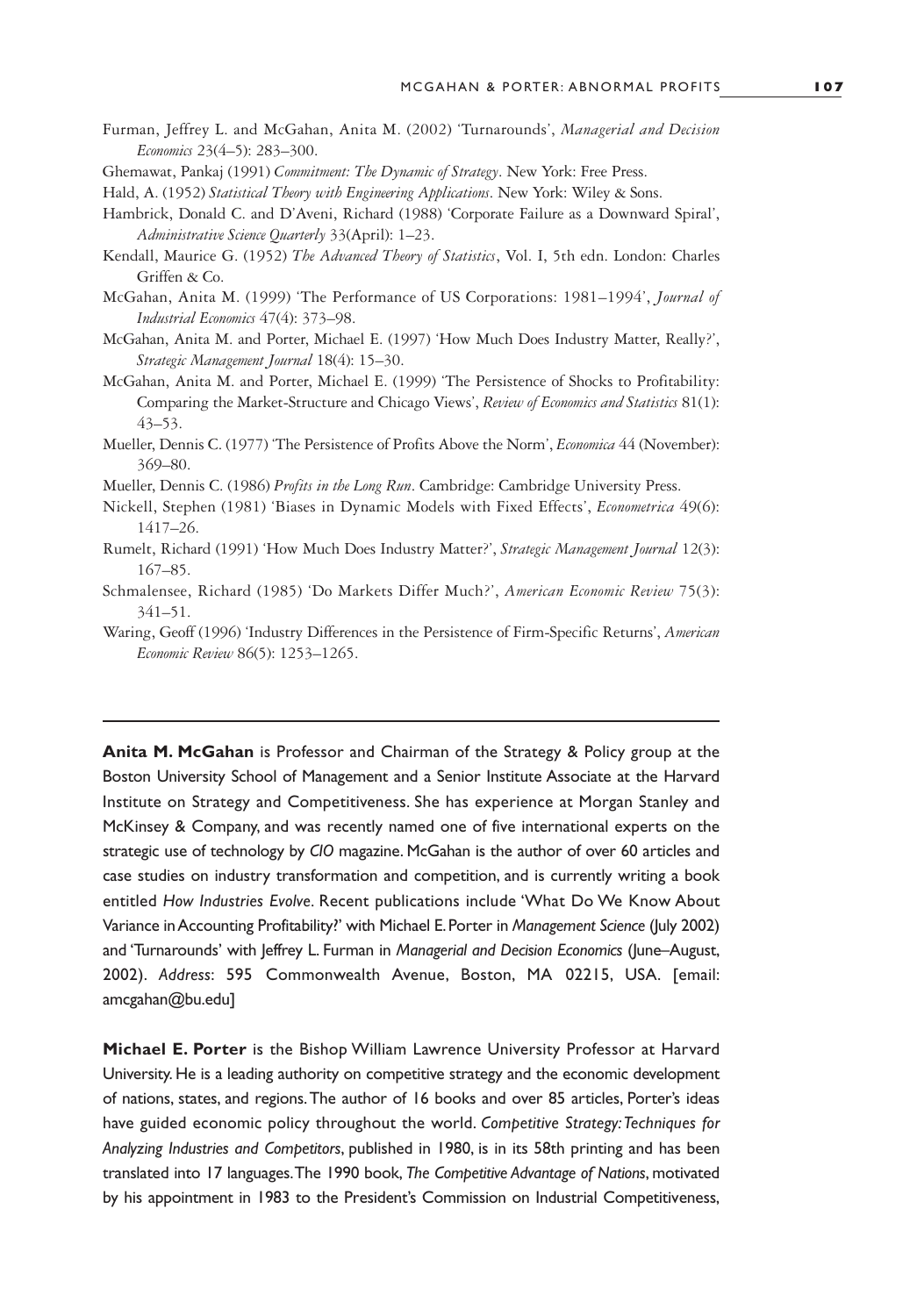- <span id="page-28-0"></span>Furman, Jeffrey L. and McGahan, Anita M. (2002) 'Turnarounds', *Managerial and Decision Economics* 23(4–5): 283–300.
- Ghemawat, Pankaj (1991) *Commitment: The Dynamic of Strategy*. New York: Free Press.

- Hambrick, Donald C. and D'Aveni, Richard (1988) 'Corporate Failure as a Downward Spiral', *Administrative Science Quarterly* 33(April): 1–23.
- Kendall, Maurice G. (1952) *The Advanced Theory of Statistics*, Vol. I, 5th edn. London: Charles Griffen & Co.
- McGahan, Anita M. (1999) 'The Performance of US Corporations: 1981–1994', *Journal of Industrial Economics* 47(4): 373–98.
- McGahan, Anita M. and Porter, Michael E. (1997) 'How Much Does Industry Matter, Really?', *Strategic Management Journal* 18(4): 15–30.
- McGahan, Anita M. and Porter, Michael E. (1999) 'The Persistence of Shocks to Profitability: Comparing the Market-Structure and Chicago Views', *Review of Economics and Statistics* 81(1): 43–53.
- Mueller, Dennis C. (1977) 'The Persistence of Profits Above the Norm', *Economica* 44 (November): 369–80.
- Mueller, Dennis C. (1986) *Profits in the Long Run*. Cambridge: Cambridge University Press.
- Nickell, Stephen (1981) 'Biases in Dynamic Models with Fixed Effects', *Econometrica* 49(6): 1417–26.
- Rumelt, Richard (1991) 'How Much Does Industry Matter?', *Strategic Management Journal* 12(3): 167–85.
- Schmalensee, Richard (1985) 'Do Markets Differ Much?', *American Economic Review* 75(3): 341–51.
- Waring, Geoff (1996) 'Industry Differences in the Persistence of Firm-Specific Returns', *American Economic Review* 86(5): 1253–1265.

**Anita M. McGahan** is Professor and Chairman of the Strategy & Policy group at the Boston University School of Management and a Senior Institute Associate at the Harvard Institute on Strategy and Competitiveness. She has experience at Morgan Stanley and McKinsey & Company, and was recently named one of five international experts on the strategic use of technology by *CIO* magazine. McGahan is the author of over 60 articles and case studies on industry transformation and competition, and is currently writing a book entitled *How Industries Evolve.* Recent publications include 'What Do We Know About Variance in Accounting Profitability?' with Michael E.Porter in *Management Science* (July 2002) and 'Turnarounds' with Jeffrey L. Furman in *Managerial and Decision Economics* (June–August, 2002). *Address*: 595 Commonwealth Avenue, Boston, MA 02215, USA. [email: amcgahan@bu.edu]

**Michael E. Porter** is the Bishop William Lawrence University Professor at Harvard University. He is a leading authority on competitive strategy and the economic development of nations, states, and regions.The author of 16 books and over 85 articles, Porter's ideas have guided economic policy throughout the world. *Competitive Strategy:Techniques for Analyzing Industries and Competitors*, published in 1980, is in its 58th printing and has been translated into 17 languages.The 1990 book, *The Competitive Advantage of Nations*, motivated by his appointment in 1983 to the President's Commission on Industrial Competitiveness,

Hald, A. (1952) *Statistical Theory with Engineering Applications*. New York: Wiley & Sons.